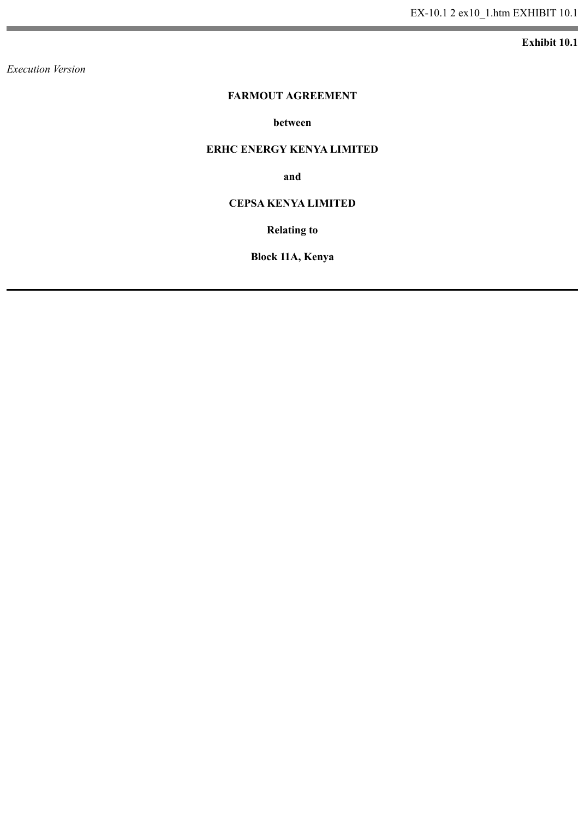**Exhibit 10.1**

*Execution Version*

#### **FARMOUT AGREEMENT**

#### **between**

#### **ERHC ENERGY KENYA LIMITED**

**and**

### **CEPSA KENYA LIMITED**

**Relating to**

**Block 11A, Kenya**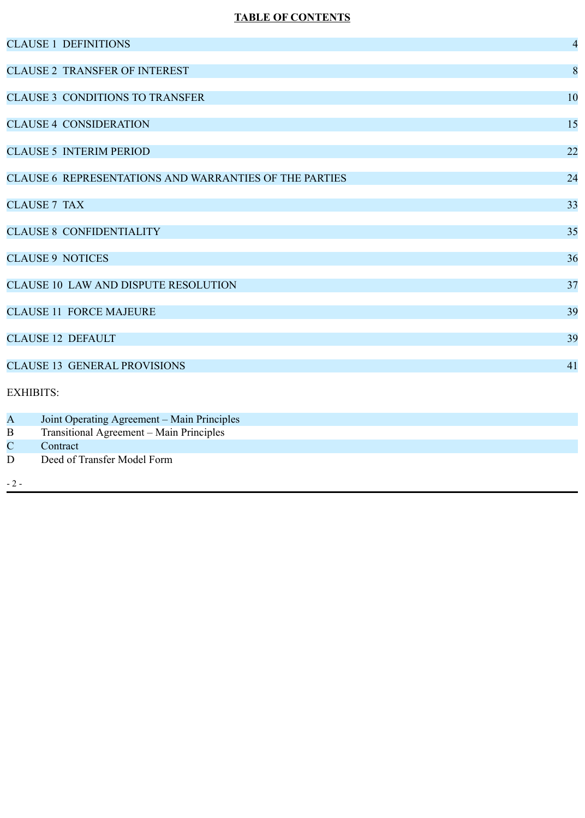# **TABLE OF CONTENTS**

|                         | <b>CLAUSE 1 DEFINITIONS</b>                            | $\overline{4}$ |
|-------------------------|--------------------------------------------------------|----------------|
|                         | <b>CLAUSE 2 TRANSFER OF INTEREST</b>                   | 8              |
|                         | <b>CLAUSE 3 CONDITIONS TO TRANSFER</b>                 | 10             |
|                         | <b>CLAUSE 4 CONSIDERATION</b>                          | 15             |
|                         | <b>CLAUSE 5 INTERIM PERIOD</b>                         | 22             |
|                         | CLAUSE 6 REPRESENTATIONS AND WARRANTIES OF THE PARTIES | 24             |
|                         | <b>CLAUSE 7 TAX</b>                                    | 33             |
|                         | <b>CLAUSE 8 CONFIDENTIALITY</b>                        | 35             |
|                         | <b>CLAUSE 9 NOTICES</b>                                | 36             |
|                         | <b>CLAUSE 10 LAW AND DISPUTE RESOLUTION</b>            | 37             |
|                         | <b>CLAUSE 11 FORCE MAJEURE</b>                         | 39             |
|                         | <b>CLAUSE 12 DEFAULT</b>                               | 39             |
|                         | <b>CLAUSE 13 GENERAL PROVISIONS</b>                    | 41             |
| <b>EXHIBITS:</b>        |                                                        |                |
| $\overline{\mathbf{A}}$ | Joint Operating Agreement - Main Principles            |                |
| $\bf{B}$                | Transitional Agreement - Main Principles               |                |
| $\mathbf C$             | Contract                                               |                |
| $\mathbf D$             | Deed of Transfer Model Form                            |                |
| $-2-$                   |                                                        |                |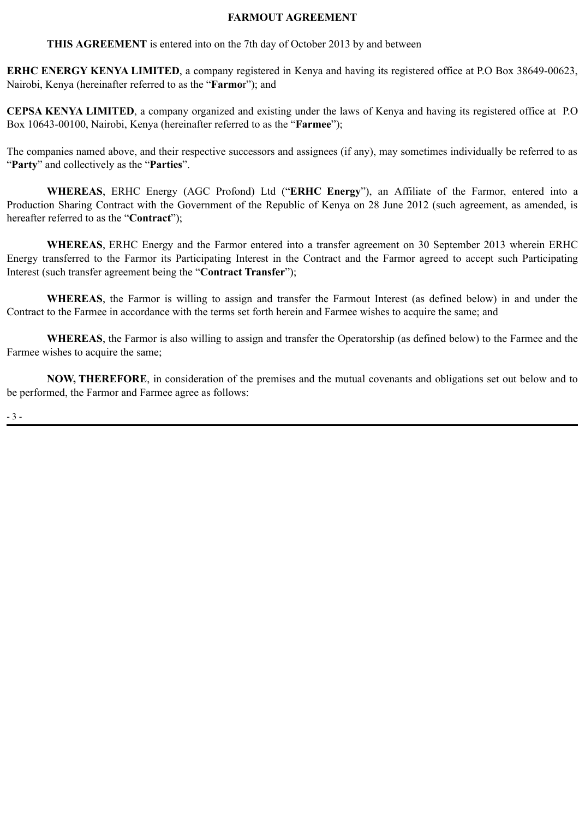#### **FARMOUT AGREEMENT**

**THIS AGREEMENT** is entered into on the 7th day of October 2013 by and between

**ERHC ENERGY KENYA LIMITED**, a company registered in Kenya and having its registered office at P.O Box 38649-00623, Nairobi, Kenya (hereinafter referred to as the "**Farmo**r"); and

**CEPSA KENYA LIMITED**, a company organized and existing under the laws of Kenya and having its registered office at P.O Box 10643-00100, Nairobi, Kenya (hereinafter referred to as the "**Farmee**");

The companies named above, and their respective successors and assignees (if any), may sometimes individually be referred to as "**Party**" and collectively as the "**Parties**".

**WHEREAS**, ERHC Energy (AGC Profond) Ltd ("**ERHC Energy**"), an Affiliate of the Farmor, entered into a Production Sharing Contract with the Government of the Republic of Kenya on 28 June 2012 (such agreement, as amended, is hereafter referred to as the "**Contract**");

**WHEREAS**, ERHC Energy and the Farmor entered into a transfer agreement on 30 September 2013 wherein ERHC Energy transferred to the Farmor its Participating Interest in the Contract and the Farmor agreed to accept such Participating Interest (such transfer agreement being the "**Contract Transfer**");

**WHEREAS**, the Farmor is willing to assign and transfer the Farmout Interest (as defined below) in and under the Contract to the Farmee in accordance with the terms set forth herein and Farmee wishes to acquire the same; and

**WHEREAS**, the Farmor is also willing to assign and transfer the Operatorship (as defined below) to the Farmee and the Farmee wishes to acquire the same;

**NOW, THEREFORE**, in consideration of the premises and the mutual covenants and obligations set out below and to be performed, the Farmor and Farmee agree as follows:

- 3 -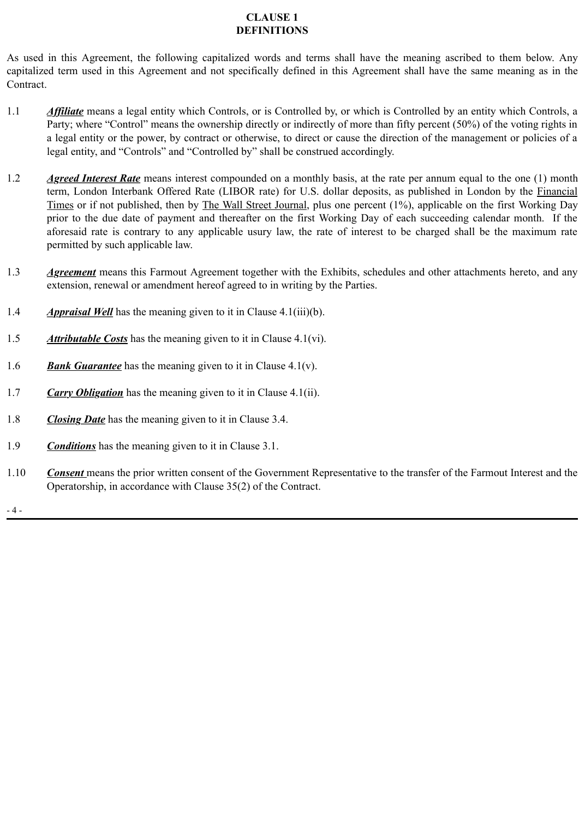# **CLAUSE 1 DEFINITIONS**

As used in this Agreement, the following capitalized words and terms shall have the meaning ascribed to them below. Any capitalized term used in this Agreement and not specifically defined in this Agreement shall have the same meaning as in the Contract.

- 1.1 *Affiliate* means a legal entity which Controls, or is Controlled by, or which is Controlled by an entity which Controls, a Party; where "Control" means the ownership directly or indirectly of more than fifty percent (50%) of the voting rights in a legal entity or the power, by contract or otherwise, to direct or cause the direction of the management or policies of a legal entity, and "Controls" and "Controlled by" shall be construed accordingly.
- 1.2 *Agreed Interest Rate* means interest compounded on a monthly basis, at the rate per annum equal to the one (1) month term, London Interbank Offered Rate (LIBOR rate) for U.S. dollar deposits, as published in London by the Financial Times or if not published, then by The Wall Street Journal, plus one percent (1%), applicable on the first Working Day prior to the due date of payment and thereafter on the first Working Day of each succeeding calendar month. If the aforesaid rate is contrary to any applicable usury law, the rate of interest to be charged shall be the maximum rate permitted by such applicable law.
- 1.3 *Agreement* means this Farmout Agreement together with the Exhibits, schedules and other attachments hereto, and any extension, renewal or amendment hereof agreed to in writing by the Parties.
- 1.4 *Appraisal Well* has the meaning given to it in Clause 4.1(iii)(b).
- 1.5 *Attributable Costs* has the meaning given to it in Clause 4.1(vi).
- 1.6 *Bank Guarantee* has the meaning given to it in Clause 4.1(v).
- 1.7 *Carry Obligation* has the meaning given to it in Clause 4.1(ii).
- 1.8 *Closing Date* has the meaning given to it in Clause 3.4.
- 1.9 *Conditions* has the meaning given to it in Clause 3.1.
- 1.10 *Consent* means the prior written consent of the Government Representative to the transfer of the Farmout Interest and the Operatorship, in accordance with Clause 35(2) of the Contract.

- 4 -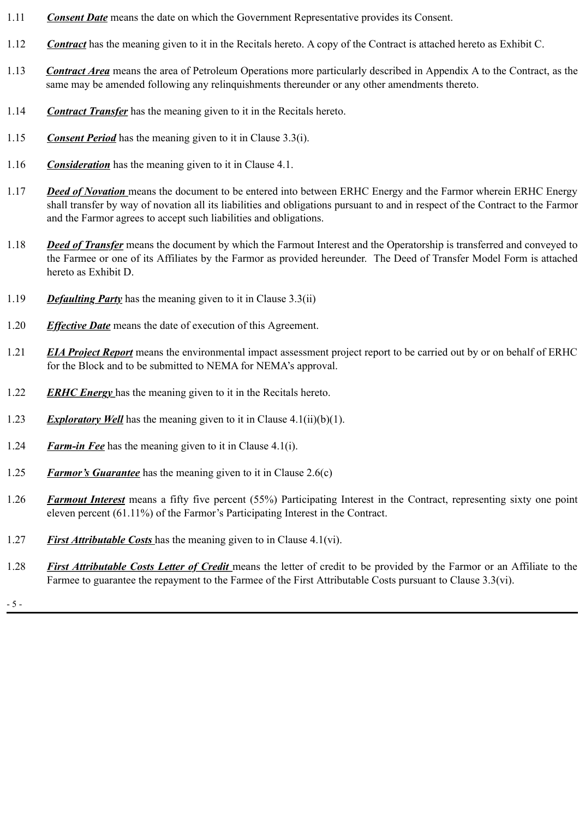- 1.11 *Consent Date* means the date on which the Government Representative provides its Consent.
- 1.12 *Contract* has the meaning given to it in the Recitals hereto. A copy of the Contract is attached hereto as Exhibit C.
- 1.13 *Contract Area* means the area of Petroleum Operations more particularly described in Appendix A to the Contract, as the same may be amended following any relinquishments thereunder or any other amendments thereto.
- 1.14 *Contract Transfer* has the meaning given to it in the Recitals hereto.
- 1.15 *Consent Period* has the meaning given to it in Clause 3.3(i).
- 1.16 *Consideration* has the meaning given to it in Clause 4.1.
- 1.17 *Deed of Novation* means the document to be entered into between ERHC Energy and the Farmor wherein ERHC Energy shall transfer by way of novation all its liabilities and obligations pursuant to and in respect of the Contract to the Farmor and the Farmor agrees to accept such liabilities and obligations.
- 1.18 *Deed of Transfer* means the document by which the Farmout Interest and the Operatorship is transferred and conveyed to the Farmee or one of its Affiliates by the Farmor as provided hereunder. The Deed of Transfer Model Form is attached hereto as Exhibit D.
- 1.19 *Defaulting Party* has the meaning given to it in Clause 3.3(ii)
- 1.20 *Effective Date* means the date of execution of this Agreement.
- 1.21 *EIA Project Report* means the environmental impact assessment project report to be carried out by or on behalf of ERHC for the Block and to be submitted to NEMA for NEMA's approval.
- 1.22 *ERHC Energy* has the meaning given to it in the Recitals hereto.
- 1.23 *Exploratory Well* has the meaning given to it in Clause 4.1(ii)(b)(1).
- 1.24 *Farm-in Fee* has the meaning given to it in Clause 4.1(i).
- 1.25 *Farmor's Guarantee* has the meaning given to it in Clause 2.6(c)
- 1.26 *Farmout Interest* means a fifty five percent (55%) Participating Interest in the Contract, representing sixty one point eleven percent (61.11%) of the Farmor's Participating Interest in the Contract.
- 1.27 *First Attributable Costs* has the meaning given to in Clause 4.1(vi).
- 1.28 *First Attributable Costs Letter of Credit* means the letter of credit to be provided by the Farmor or an Affiliate to the Farmee to guarantee the repayment to the Farmee of the First Attributable Costs pursuant to Clause 3.3(vi).

- 5 -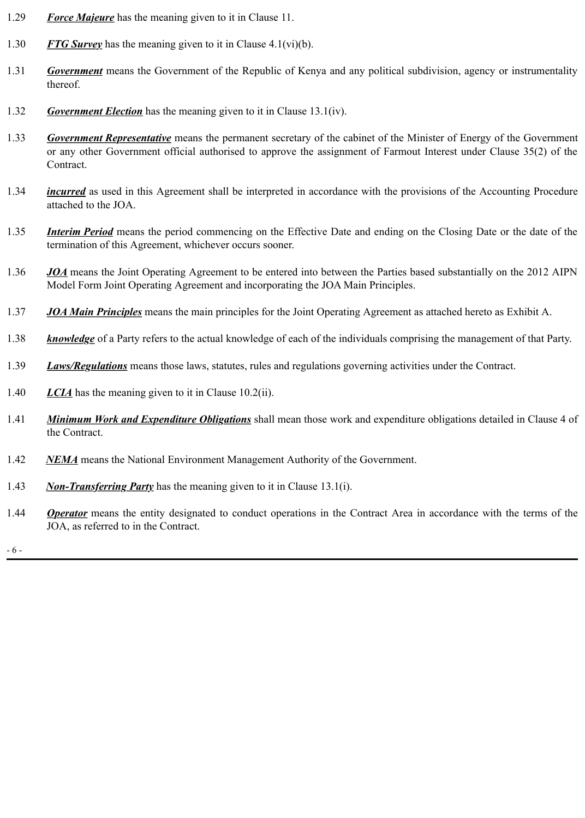- 1.29 *Force Majeure* has the meaning given to it in Clause 11.
- 1.30 *FTG Survey* has the meaning given to it in Clause 4.1(vi)(b).
- 1.31 *Government* means the Government of the Republic of Kenya and any political subdivision, agency or instrumentality thereof.
- 1.32 *Government Election* has the meaning given to it in Clause 13.1(iv).
- 1.33 *Government Representative* means the permanent secretary of the cabinet of the Minister of Energy of the Government or any other Government official authorised to approve the assignment of Farmout Interest under Clause 35(2) of the Contract.
- 1.34 *incurred* as used in this Agreement shall be interpreted in accordance with the provisions of the Accounting Procedure attached to the JOA.
- 1.35 *Interim Period* means the period commencing on the Effective Date and ending on the Closing Date or the date of the termination of this Agreement, whichever occurs sooner.
- 1.36 *JOA* means the Joint Operating Agreement to be entered into between the Parties based substantially on the 2012 AIPN Model Form Joint Operating Agreement and incorporating the JOA Main Principles.
- 1.37 *JOA Main Principles* means the main principles for the Joint Operating Agreement as attached hereto as Exhibit A.
- 1.38 *knowledge* of a Party refers to the actual knowledge of each of the individuals comprising the management of that Party.
- 1.39 *Laws/Regulations* means those laws, statutes, rules and regulations governing activities under the Contract.
- 1.40 *LCIA* has the meaning given to it in Clause 10.2(ii).
- 1.41 *Minimum Work and Expenditure Obligations* shall mean those work and expenditure obligations detailed in Clause 4 of the Contract.
- 1.42 *NEMA* means the National Environment Management Authority of the Government.
- 1.43 *Non-Transferring Party* has the meaning given to it in Clause 13.1(i).
- 1.44 *Operator* means the entity designated to conduct operations in the Contract Area in accordance with the terms of the JOA, as referred to in the Contract.

- 6 -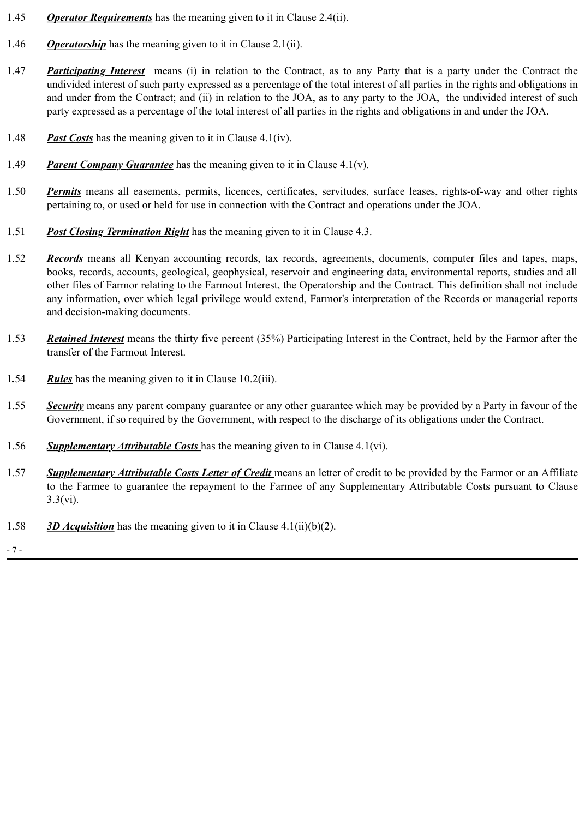- 1.45 *Operator Requirements* has the meaning given to it in Clause 2.4(ii).
- 1.46 *Operatorship* has the meaning given to it in Clause 2.1(ii).
- 1.47 *Participating Interest* means (i) in relation to the Contract, as to any Party that is a party under the Contract the undivided interest of such party expressed as a percentage of the total interest of all parties in the rights and obligations in and under from the Contract; and (ii) in relation to the JOA, as to any party to the JOA, the undivided interest of such party expressed as a percentage of the total interest of all parties in the rights and obligations in and under the JOA.
- 1.48 *Past Costs* has the meaning given to it in Clause 4.1(iv).
- 1.49 *Parent Company Guarantee* has the meaning given to it in Clause 4.1(v).
- 1.50 *Permits* means all easements, permits, licences, certificates, servitudes, surface leases, rights-of-way and other rights pertaining to, or used or held for use in connection with the Contract and operations under the JOA.
- 1.51 *Post Closing Termination Right* has the meaning given to it in Clause 4.3.
- 1.52 *Records* means all Kenyan accounting records, tax records, agreements, documents, computer files and tapes, maps, books, records, accounts, geological, geophysical, reservoir and engineering data, environmental reports, studies and all other files of Farmor relating to the Farmout Interest, the Operatorship and the Contract. This definition shall not include any information, over which legal privilege would extend, Farmor's interpretation of the Records or managerial reports and decision-making documents.
- 1.53 *Retained Interest* means the thirty five percent (35%) Participating Interest in the Contract, held by the Farmor after the transfer of the Farmout Interest.
- 1*.*54 *Rules* has the meaning given to it in Clause 10.2(iii).
- 1.55 *Security* means any parent company guarantee or any other guarantee which may be provided by a Party in favour of the Government, if so required by the Government, with respect to the discharge of its obligations under the Contract.
- 1.56 *Supplementary Attributable Costs* has the meaning given to in Clause 4.1(vi).
- 1.57 *Supplementary Attributable Costs Letter of Credit* means an letter of credit to be provided by the Farmor or an Affiliate to the Farmee to guarantee the repayment to the Farmee of any Supplementary Attributable Costs pursuant to Clause 3.3(vi).
- 1.58 *3D Acquisition* has the meaning given to it in Clause 4.1(ii)(b)(2).
- 7 -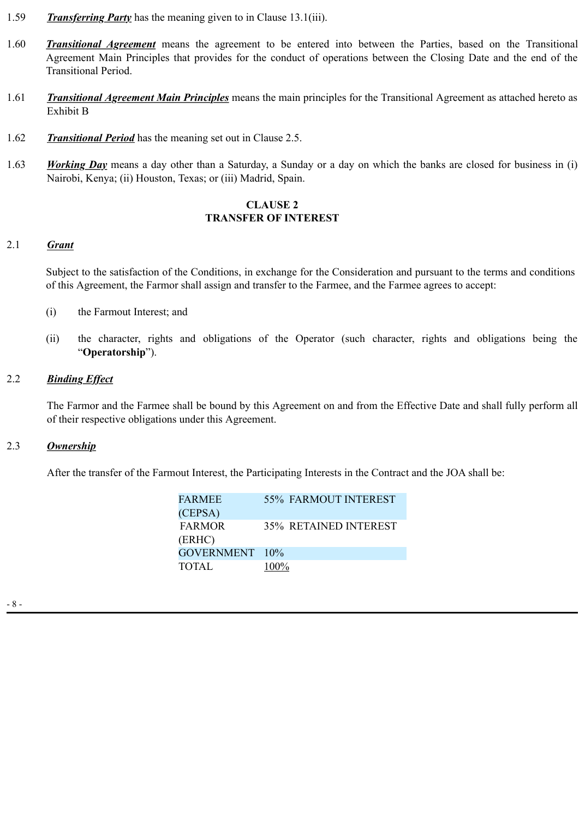- 1.59 *Transferring Party* has the meaning given to in Clause 13.1(iii).
- 1.60 *Transitional Agreement* means the agreement to be entered into between the Parties, based on the Transitional Agreement Main Principles that provides for the conduct of operations between the Closing Date and the end of the Transitional Period.
- 1.61 *Transitional Agreement Main Principles* means the main principles for the Transitional Agreement as attached hereto as Exhibit B
- 1.62 *Transitional Period* has the meaning set out in Clause 2.5.
- 1.63 *Working Day* means a day other than a Saturday, a Sunday or a day on which the banks are closed for business in (i) Nairobi, Kenya; (ii) Houston, Texas; or (iii) Madrid, Spain.

#### **CLAUSE 2 TRANSFER OF INTEREST**

# 2.1 *Grant*

Subject to the satisfaction of the Conditions, in exchange for the Consideration and pursuant to the terms and conditions of this Agreement, the Farmor shall assign and transfer to the Farmee, and the Farmee agrees to accept:

- (i) the Farmout Interest; and
- (ii) the character, rights and obligations of the Operator (such character, rights and obligations being the "**Operatorship**").

# 2.2 *Binding Effect*

The Farmor and the Farmee shall be bound by this Agreement on and from the Effective Date and shall fully perform all of their respective obligations under this Agreement.

## 2.3 *Ownership*

After the transfer of the Farmout Interest, the Participating Interests in the Contract and the JOA shall be:

| <b>FARMEE</b>  |      | <b>55% FARMOUT INTEREST</b>  |
|----------------|------|------------------------------|
| (CEPSA)        |      |                              |
| <b>FARMOR</b>  |      | <b>35% RETAINED INTEREST</b> |
| (ERHC)         |      |                              |
| GOVERNMENT 10% |      |                              |
| <b>TOTAL</b>   | 100% |                              |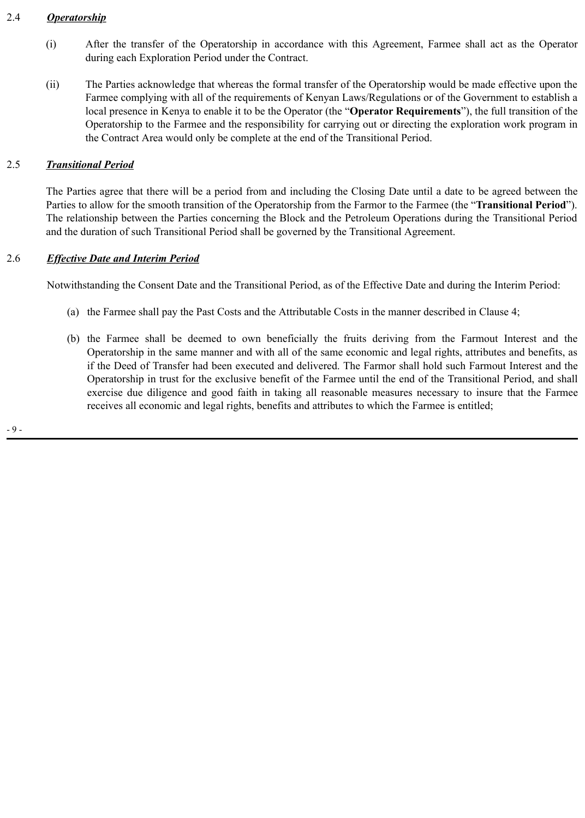# 2.4 *Operatorship*

- (i) After the transfer of the Operatorship in accordance with this Agreement, Farmee shall act as the Operator during each Exploration Period under the Contract.
- (ii) The Parties acknowledge that whereas the formal transfer of the Operatorship would be made effective upon the Farmee complying with all of the requirements of Kenyan Laws/Regulations or of the Government to establish a local presence in Kenya to enable it to be the Operator (the "**Operator Requirements**"), the full transition of the Operatorship to the Farmee and the responsibility for carrying out or directing the exploration work program in the Contract Area would only be complete at the end of the Transitional Period.

# 2.5 *Transitional Period*

The Parties agree that there will be a period from and including the Closing Date until a date to be agreed between the Parties to allow for the smooth transition of the Operatorship from the Farmor to the Farmee (the "**Transitional Period**"). The relationship between the Parties concerning the Block and the Petroleum Operations during the Transitional Period and the duration of such Transitional Period shall be governed by the Transitional Agreement.

# 2.6 *Effective Date and Interim Period*

Notwithstanding the Consent Date and the Transitional Period, as of the Effective Date and during the Interim Period:

- (a) the Farmee shall pay the Past Costs and the Attributable Costs in the manner described in Clause 4;
- (b) the Farmee shall be deemed to own beneficially the fruits deriving from the Farmout Interest and the Operatorship in the same manner and with all of the same economic and legal rights, attributes and benefits, as if the Deed of Transfer had been executed and delivered. The Farmor shall hold such Farmout Interest and the Operatorship in trust for the exclusive benefit of the Farmee until the end of the Transitional Period, and shall exercise due diligence and good faith in taking all reasonable measures necessary to insure that the Farmee receives all economic and legal rights, benefits and attributes to which the Farmee is entitled;

- 9 -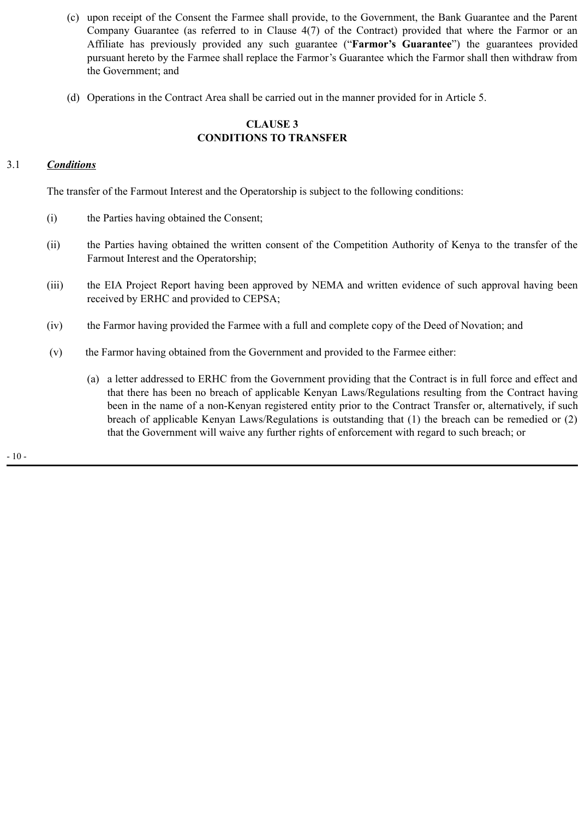- (c) upon receipt of the Consent the Farmee shall provide, to the Government, the Bank Guarantee and the Parent Company Guarantee (as referred to in Clause 4(7) of the Contract) provided that where the Farmor or an Affiliate has previously provided any such guarantee ("**Farmor's Guarantee**") the guarantees provided pursuant hereto by the Farmee shall replace the Farmor's Guarantee which the Farmor shall then withdraw from the Government; and
- (d) Operations in the Contract Area shall be carried out in the manner provided for in Article 5.

### **CLAUSE 3 CONDITIONS TO TRANSFER**

## 3.1 *Conditions*

The transfer of the Farmout Interest and the Operatorship is subject to the following conditions:

- (i) the Parties having obtained the Consent;
- (ii) the Parties having obtained the written consent of the Competition Authority of Kenya to the transfer of the Farmout Interest and the Operatorship;
- (iii) the EIA Project Report having been approved by NEMA and written evidence of such approval having been received by ERHC and provided to CEPSA;
- (iv) the Farmor having provided the Farmee with a full and complete copy of the Deed of Novation; and
- (v) the Farmor having obtained from the Government and provided to the Farmee either:
	- (a) a letter addressed to ERHC from the Government providing that the Contract is in full force and effect and that there has been no breach of applicable Kenyan Laws/Regulations resulting from the Contract having been in the name of a non-Kenyan registered entity prior to the Contract Transfer or, alternatively, if such breach of applicable Kenyan Laws/Regulations is outstanding that (1) the breach can be remedied or (2) that the Government will waive any further rights of enforcement with regard to such breach; or

- 10 -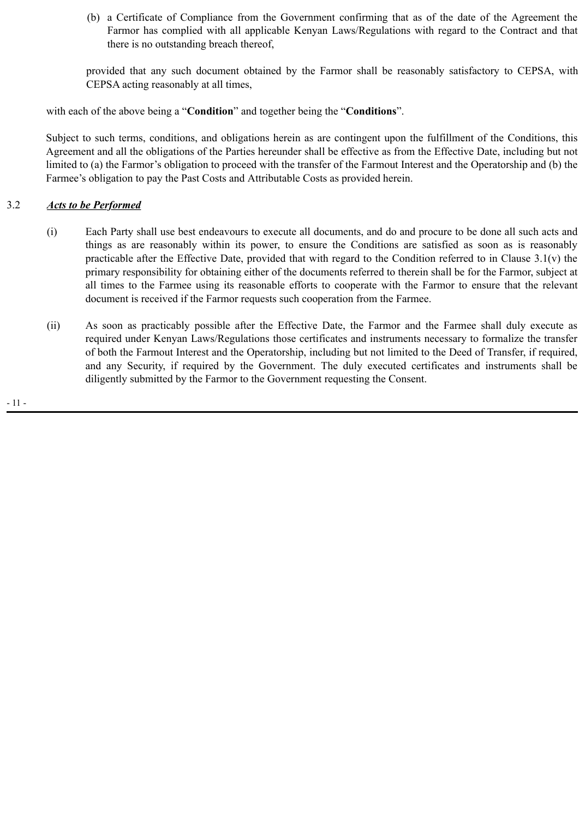(b) a Certificate of Compliance from the Government confirming that as of the date of the Agreement the Farmor has complied with all applicable Kenyan Laws/Regulations with regard to the Contract and that there is no outstanding breach thereof,

provided that any such document obtained by the Farmor shall be reasonably satisfactory to CEPSA, with CEPSA acting reasonably at all times,

with each of the above being a "**Condition**" and together being the "**Conditions**".

Subject to such terms, conditions, and obligations herein as are contingent upon the fulfillment of the Conditions, this Agreement and all the obligations of the Parties hereunder shall be effective as from the Effective Date, including but not limited to (a) the Farmor's obligation to proceed with the transfer of the Farmout Interest and the Operatorship and (b) the Farmee's obligation to pay the Past Costs and Attributable Costs as provided herein.

# 3.2 *Acts to be Performed*

- (i) Each Party shall use best endeavours to execute all documents, and do and procure to be done all such acts and things as are reasonably within its power, to ensure the Conditions are satisfied as soon as is reasonably practicable after the Effective Date, provided that with regard to the Condition referred to in Clause 3.1(v) the primary responsibility for obtaining either of the documents referred to therein shall be for the Farmor, subject at all times to the Farmee using its reasonable efforts to cooperate with the Farmor to ensure that the relevant document is received if the Farmor requests such cooperation from the Farmee.
- (ii) As soon as practicably possible after the Effective Date, the Farmor and the Farmee shall duly execute as required under Kenyan Laws/Regulations those certificates and instruments necessary to formalize the transfer of both the Farmout Interest and the Operatorship, including but not limited to the Deed of Transfer, if required, and any Security, if required by the Government. The duly executed certificates and instruments shall be diligently submitted by the Farmor to the Government requesting the Consent.

- 11 -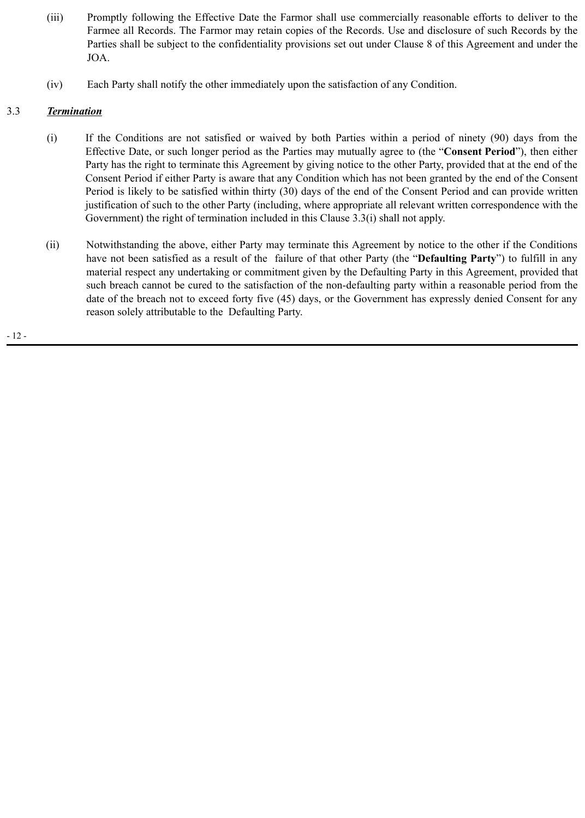- (iii) Promptly following the Effective Date the Farmor shall use commercially reasonable efforts to deliver to the Farmee all Records. The Farmor may retain copies of the Records. Use and disclosure of such Records by the Parties shall be subject to the confidentiality provisions set out under Clause 8 of this Agreement and under the JOA.
- (iv) Each Party shall notify the other immediately upon the satisfaction of any Condition.

## 3.3 *Termination*

- (i) If the Conditions are not satisfied or waived by both Parties within a period of ninety (90) days from the Effective Date, or such longer period as the Parties may mutually agree to (the "**Consent Period**"), then either Party has the right to terminate this Agreement by giving notice to the other Party, provided that at the end of the Consent Period if either Party is aware that any Condition which has not been granted by the end of the Consent Period is likely to be satisfied within thirty (30) days of the end of the Consent Period and can provide written justification of such to the other Party (including, where appropriate all relevant written correspondence with the Government) the right of termination included in this Clause 3.3(i) shall not apply.
- (ii) Notwithstanding the above, either Party may terminate this Agreement by notice to the other if the Conditions have not been satisfied as a result of the failure of that other Party (the "**Defaulting Party**") to fulfill in any material respect any undertaking or commitment given by the Defaulting Party in this Agreement, provided that such breach cannot be cured to the satisfaction of the non-defaulting party within a reasonable period from the date of the breach not to exceed forty five (45) days, or the Government has expressly denied Consent for any reason solely attributable to the Defaulting Party.

- 12 -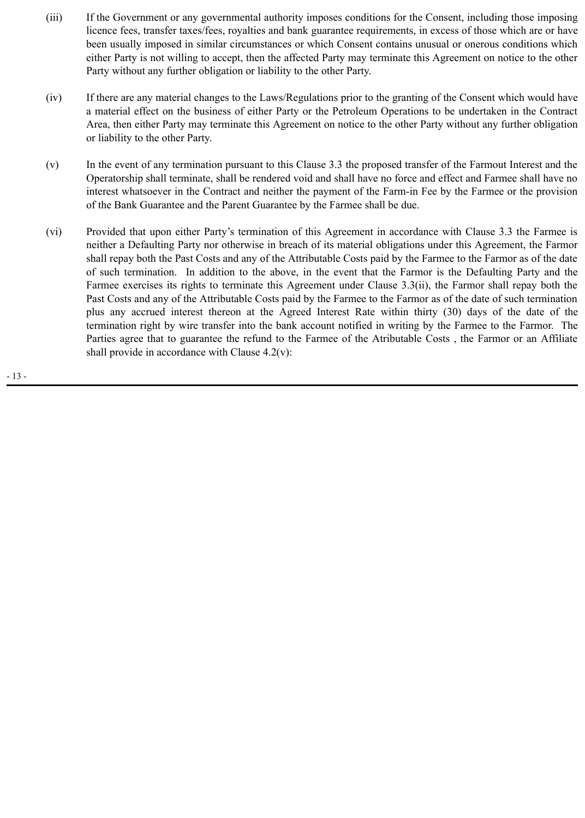- (iii) If the Government or any governmental authority imposes conditions for the Consent, including those imposing licence fees, transfer taxes/fees, royalties and bank guarantee requirements, in excess of those which are or have been usually imposed in similar circumstances or which Consent contains unusual or onerous conditions which either Party is not willing to accept, then the affected Party may terminate this Agreement on notice to the other Party without any further obligation or liability to the other Party.
- (iv) If there are any material changes to the Laws/Regulations prior to the granting of the Consent which would have a material effect on the business of either Party or the Petroleum Operations to be undertaken in the Contract Area, then either Party may terminate this Agreement on notice to the other Party without any further obligation or liability to the other Party.
- (v) In the event of any termination pursuant to this Clause 3.3 the proposed transfer of the Farmout Interest and the Operatorship shall terminate, shall be rendered void and shall have no force and effect and Farmee shall have no interest whatsoever in the Contract and neither the payment of the Farm-in Fee by the Farmee or the provision of the Bank Guarantee and the Parent Guarantee by the Farmee shall be due.
- (vi) Provided that upon either Party's termination of this Agreement in accordance with Clause 3.3 the Farmee is neither a Defaulting Party nor otherwise in breach of its material obligations under this Agreement, the Farmor shall repay both the Past Costs and any of the Attributable Costs paid by the Farmee to the Farmor as of the date of such termination. In addition to the above, in the event that the Farmor is the Defaulting Party and the Farmee exercises its rights to terminate this Agreement under Clause 3.3(ii), the Farmor shall repay both the Past Costs and any of the Attributable Costs paid by the Farmee to the Farmor as of the date of such termination plus any accrued interest thereon at the Agreed Interest Rate within thirty (30) days of the date of the termination right by wire transfer into the bank account notified in writing by the Farmee to the Farmor. The Parties agree that to guarantee the refund to the Farmee of the Atributable Costs , the Farmor or an Affiliate shall provide in accordance with Clause  $4.2(v)$ :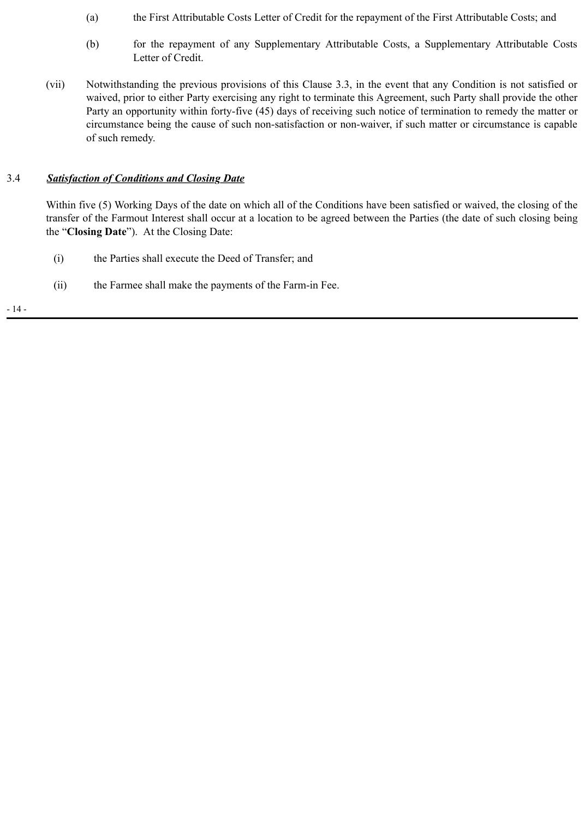- (a) the First Attributable Costs Letter of Credit for the repayment of the First Attributable Costs; and
- (b) for the repayment of any Supplementary Attributable Costs, a Supplementary Attributable Costs Letter of Credit.
- (vii) Notwithstanding the previous provisions of this Clause 3.3, in the event that any Condition is not satisfied or waived, prior to either Party exercising any right to terminate this Agreement, such Party shall provide the other Party an opportunity within forty-five (45) days of receiving such notice of termination to remedy the matter or circumstance being the cause of such non-satisfaction or non-waiver, if such matter or circumstance is capable of such remedy.

## 3.4 *Satisfaction of Conditions and Closing Date*

Within five (5) Working Days of the date on which all of the Conditions have been satisfied or waived, the closing of the transfer of the Farmout Interest shall occur at a location to be agreed between the Parties (the date of such closing being the "**Closing Date**"). At the Closing Date:

- (i) the Parties shall execute the Deed of Transfer; and
- (ii) the Farmee shall make the payments of the Farm-in Fee.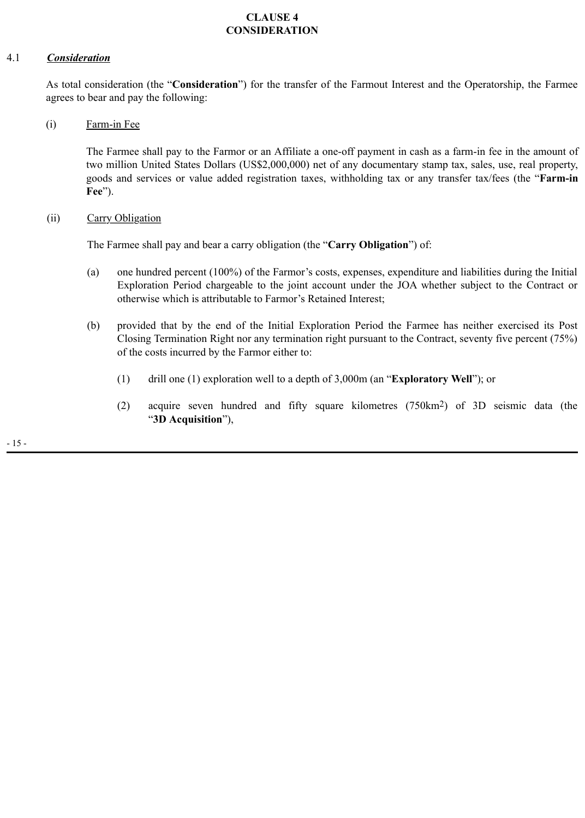# **CLAUSE 4 CONSIDERATION**

## 4.1 *Consideration*

As total consideration (the "**Consideration**") for the transfer of the Farmout Interest and the Operatorship, the Farmee agrees to bear and pay the following:

(i) Farm-in Fee

The Farmee shall pay to the Farmor or an Affiliate a one-off payment in cash as a farm-in fee in the amount of two million United States Dollars (US\$2,000,000) net of any documentary stamp tax, sales, use, real property, goods and services or value added registration taxes, withholding tax or any transfer tax/fees (the "**Farm-in Fee**").

(ii) Carry Obligation

The Farmee shall pay and bear a carry obligation (the "**Carry Obligation**") of:

- (a) one hundred percent (100%) of the Farmor's costs, expenses, expenditure and liabilities during the Initial Exploration Period chargeable to the joint account under the JOA whether subject to the Contract or otherwise which is attributable to Farmor's Retained Interest;
- (b) provided that by the end of the Initial Exploration Period the Farmee has neither exercised its Post Closing Termination Right nor any termination right pursuant to the Contract, seventy five percent (75%) of the costs incurred by the Farmor either to:
	- (1) drill one (1) exploration well to a depth of 3,000m (an "**Exploratory Well**"); or
	- (2) acquire seven hundred and fifty square kilometres (750km2) of 3D seismic data (the "**3D Acquisition**"),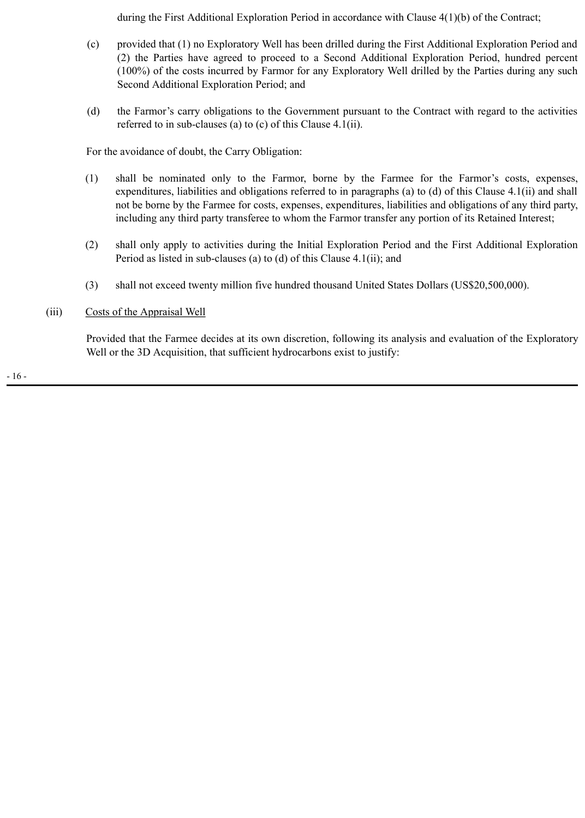during the First Additional Exploration Period in accordance with Clause 4(1)(b) of the Contract;

- (c) provided that (1) no Exploratory Well has been drilled during the First Additional Exploration Period and (2) the Parties have agreed to proceed to a Second Additional Exploration Period, hundred percent (100%) of the costs incurred by Farmor for any Exploratory Well drilled by the Parties during any such Second Additional Exploration Period; and
- (d) the Farmor's carry obligations to the Government pursuant to the Contract with regard to the activities referred to in sub-clauses (a) to (c) of this Clause 4.1(ii).

For the avoidance of doubt, the Carry Obligation:

- (1) shall be nominated only to the Farmor, borne by the Farmee for the Farmor's costs, expenses, expenditures, liabilities and obligations referred to in paragraphs (a) to (d) of this Clause 4.1(ii) and shall not be borne by the Farmee for costs, expenses, expenditures, liabilities and obligations of any third party, including any third party transferee to whom the Farmor transfer any portion of its Retained Interest;
- (2) shall only apply to activities during the Initial Exploration Period and the First Additional Exploration Period as listed in sub-clauses (a) to (d) of this Clause 4.1(ii); and
- (3) shall not exceed twenty million five hundred thousand United States Dollars (US\$20,500,000).
- (iii) Costs of the Appraisal Well

Provided that the Farmee decides at its own discretion, following its analysis and evaluation of the Exploratory Well or the 3D Acquisition, that sufficient hydrocarbons exist to justify: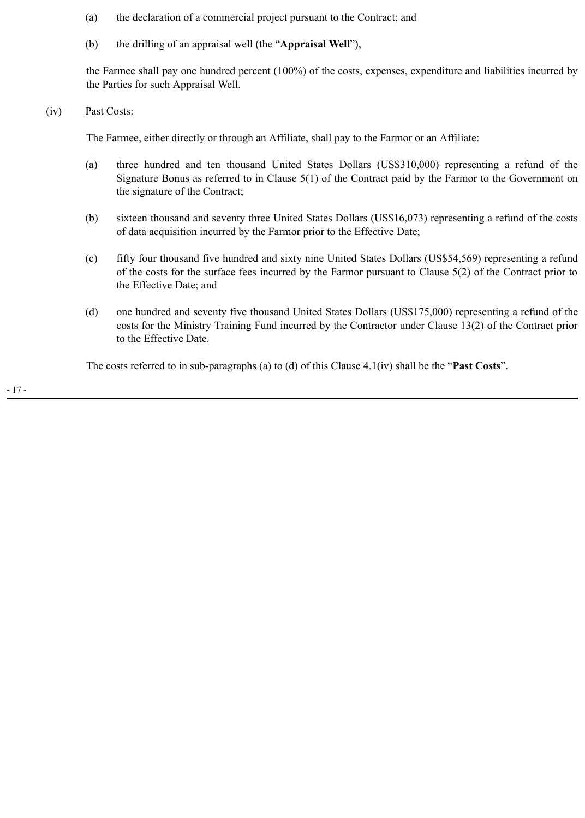- (a) the declaration of a commercial project pursuant to the Contract; and
- (b) the drilling of an appraisal well (the "**Appraisal Well**"),

the Farmee shall pay one hundred percent (100%) of the costs, expenses, expenditure and liabilities incurred by the Parties for such Appraisal Well.

(iv) Past Costs:

The Farmee, either directly or through an Affiliate, shall pay to the Farmor or an Affiliate:

- (a) three hundred and ten thousand United States Dollars (US\$310,000) representing a refund of the Signature Bonus as referred to in Clause 5(1) of the Contract paid by the Farmor to the Government on the signature of the Contract;
- (b) sixteen thousand and seventy three United States Dollars (US\$16,073) representing a refund of the costs of data acquisition incurred by the Farmor prior to the Effective Date;
- (c) fifty four thousand five hundred and sixty nine United States Dollars (US\$54,569) representing a refund of the costs for the surface fees incurred by the Farmor pursuant to Clause 5(2) of the Contract prior to the Effective Date; and
- (d) one hundred and seventy five thousand United States Dollars (US\$175,000) representing a refund of the costs for the Ministry Training Fund incurred by the Contractor under Clause 13(2) of the Contract prior to the Effective Date.

The costs referred to in sub-paragraphs (a) to (d) of this Clause 4.1(iv) shall be the "**Past Costs**".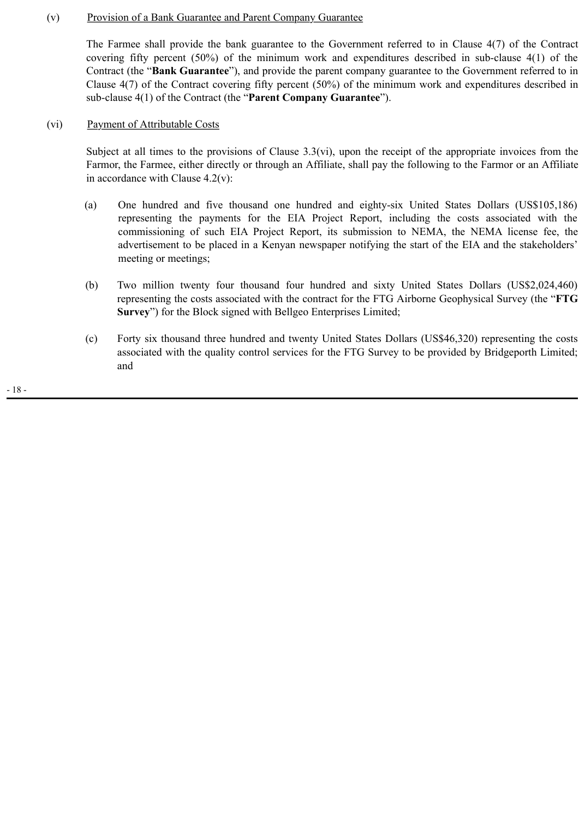#### (v) Provision of a Bank Guarantee and Parent Company Guarantee

The Farmee shall provide the bank guarantee to the Government referred to in Clause 4(7) of the Contract covering fifty percent (50%) of the minimum work and expenditures described in sub-clause 4(1) of the Contract (the "**Bank Guarantee**"), and provide the parent company guarantee to the Government referred to in Clause 4(7) of the Contract covering fifty percent (50%) of the minimum work and expenditures described in sub-clause 4(1) of the Contract (the "**Parent Company Guarantee**").

#### (vi) Payment of Attributable Costs

Subject at all times to the provisions of Clause 3.3(vi), upon the receipt of the appropriate invoices from the Farmor, the Farmee, either directly or through an Affiliate, shall pay the following to the Farmor or an Affiliate in accordance with Clause 4.2(v):

- (a) One hundred and five thousand one hundred and eighty-six United States Dollars (US\$105,186) representing the payments for the EIA Project Report, including the costs associated with the commissioning of such EIA Project Report, its submission to NEMA, the NEMA license fee, the advertisement to be placed in a Kenyan newspaper notifying the start of the EIA and the stakeholders' meeting or meetings;
- (b) Two million twenty four thousand four hundred and sixty United States Dollars (US\$2,024,460) representing the costs associated with the contract for the FTG Airborne Geophysical Survey (the "**FTG Survey**") for the Block signed with Bellgeo Enterprises Limited;
- (c) Forty six thousand three hundred and twenty United States Dollars (US\$46,320) representing the costs associated with the quality control services for the FTG Survey to be provided by Bridgeporth Limited; and

- 18 -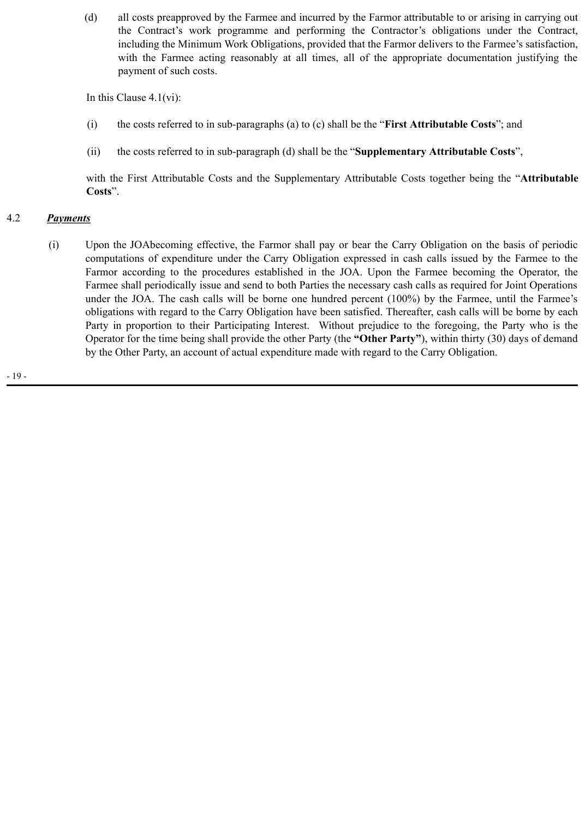(d) all costs preapproved by the Farmee and incurred by the Farmor attributable to or arising in carrying out the Contract's work programme and performing the Contractor's obligations under the Contract, including the Minimum Work Obligations, provided that the Farmor delivers to the Farmee's satisfaction, with the Farmee acting reasonably at all times, all of the appropriate documentation justifying the payment of such costs.

In this Clause 4.1(vi):

- (i) the costs referred to in sub-paragraphs (a) to (c) shall be the "**First Attributable Costs**"; and
- (ii) the costs referred to in sub-paragraph (d) shall be the "**Supplementary Attributable Costs**",

with the First Attributable Costs and the Supplementary Attributable Costs together being the "**Attributable Costs**".

# 4.2 *Payments*

 (i) Upon the JOAbecoming effective, the Farmor shall pay or bear the Carry Obligation on the basis of periodic computations of expenditure under the Carry Obligation expressed in cash calls issued by the Farmee to the Farmor according to the procedures established in the JOA. Upon the Farmee becoming the Operator, the Farmee shall periodically issue and send to both Parties the necessary cash calls as required for Joint Operations under the JOA. The cash calls will be borne one hundred percent (100%) by the Farmee, until the Farmee's obligations with regard to the Carry Obligation have been satisfied. Thereafter, cash calls will be borne by each Party in proportion to their Participating Interest. Without prejudice to the foregoing, the Party who is the Operator for the time being shall provide the other Party (the **"Other Party"**), within thirty (30) days of demand by the Other Party, an account of actual expenditure made with regard to the Carry Obligation.

- 19 -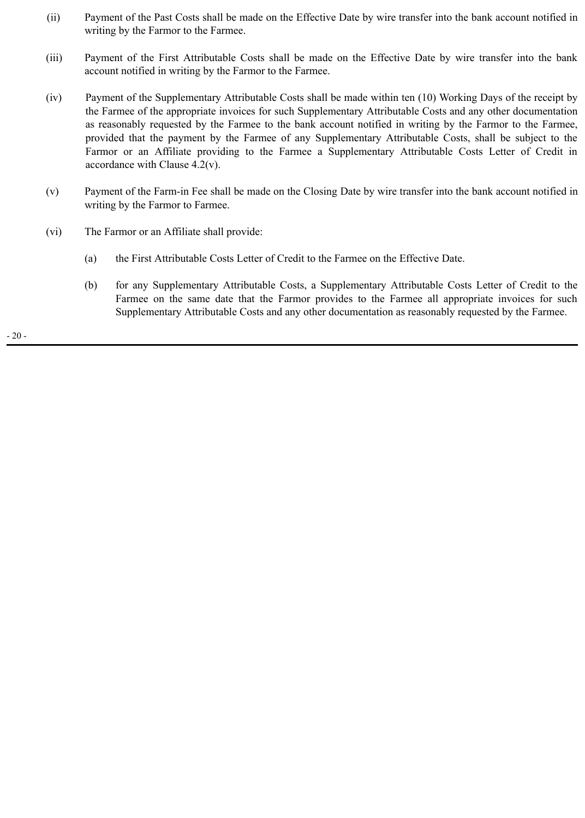- (ii) Payment of the Past Costs shall be made on the Effective Date by wire transfer into the bank account notified in writing by the Farmor to the Farmee.
- (iii) Payment of the First Attributable Costs shall be made on the Effective Date by wire transfer into the bank account notified in writing by the Farmor to the Farmee.
- (iv) Payment of the Supplementary Attributable Costs shall be made within ten (10) Working Days of the receipt by the Farmee of the appropriate invoices for such Supplementary Attributable Costs and any other documentation as reasonably requested by the Farmee to the bank account notified in writing by the Farmor to the Farmee, provided that the payment by the Farmee of any Supplementary Attributable Costs, shall be subject to the Farmor or an Affiliate providing to the Farmee a Supplementary Attributable Costs Letter of Credit in accordance with Clause 4.2(v).
- (v) Payment of the Farm-in Fee shall be made on the Closing Date by wire transfer into the bank account notified in writing by the Farmor to Farmee.
- (vi) The Farmor or an Affiliate shall provide:
	- (a) the First Attributable Costs Letter of Credit to the Farmee on the Effective Date.
	- (b) for any Supplementary Attributable Costs, a Supplementary Attributable Costs Letter of Credit to the Farmee on the same date that the Farmor provides to the Farmee all appropriate invoices for such Supplementary Attributable Costs and any other documentation as reasonably requested by the Farmee.

- 20 -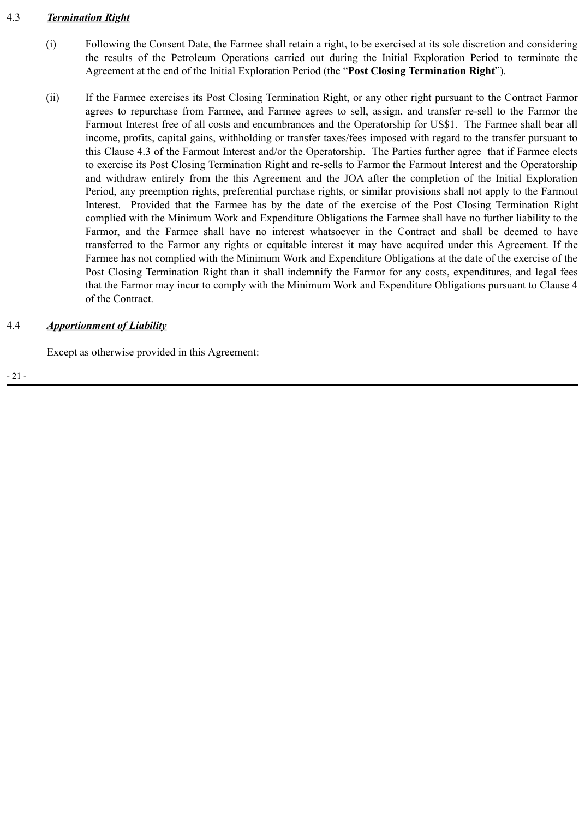# 4.3 *Termination Right*

- (i) Following the Consent Date, the Farmee shall retain a right, to be exercised at its sole discretion and considering the results of the Petroleum Operations carried out during the Initial Exploration Period to terminate the Agreement at the end of the Initial Exploration Period (the "**Post Closing Termination Right**").
- (ii) If the Farmee exercises its Post Closing Termination Right, or any other right pursuant to the Contract Farmor agrees to repurchase from Farmee, and Farmee agrees to sell, assign, and transfer re-sell to the Farmor the Farmout Interest free of all costs and encumbrances and the Operatorship for US\$1. The Farmee shall bear all income, profits, capital gains, withholding or transfer taxes/fees imposed with regard to the transfer pursuant to this Clause 4.3 of the Farmout Interest and/or the Operatorship. The Parties further agree that if Farmee elects to exercise its Post Closing Termination Right and re-sells to Farmor the Farmout Interest and the Operatorship and withdraw entirely from the this Agreement and the JOA after the completion of the Initial Exploration Period, any preemption rights, preferential purchase rights, or similar provisions shall not apply to the Farmout Interest. Provided that the Farmee has by the date of the exercise of the Post Closing Termination Right complied with the Minimum Work and Expenditure Obligations the Farmee shall have no further liability to the Farmor, and the Farmee shall have no interest whatsoever in the Contract and shall be deemed to have transferred to the Farmor any rights or equitable interest it may have acquired under this Agreement. If the Farmee has not complied with the Minimum Work and Expenditure Obligations at the date of the exercise of the Post Closing Termination Right than it shall indemnify the Farmor for any costs, expenditures, and legal fees that the Farmor may incur to comply with the Minimum Work and Expenditure Obligations pursuant to Clause 4 of the Contract.

# 4.4 *Apportionment of Liability*

Except as otherwise provided in this Agreement: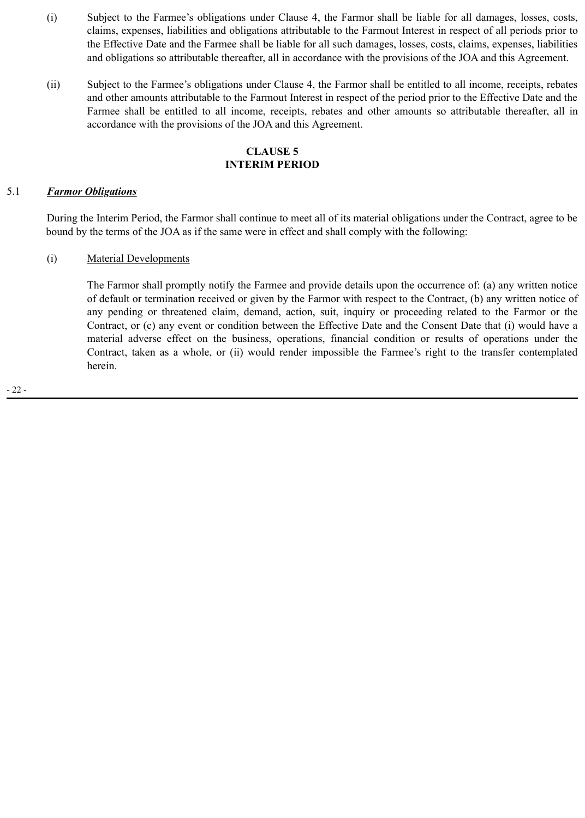- (i) Subject to the Farmee's obligations under Clause 4, the Farmor shall be liable for all damages, losses, costs, claims, expenses, liabilities and obligations attributable to the Farmout Interest in respect of all periods prior to the Effective Date and the Farmee shall be liable for all such damages, losses, costs, claims, expenses, liabilities and obligations so attributable thereafter, all in accordance with the provisions of the JOA and this Agreement.
- (ii) Subject to the Farmee's obligations under Clause 4, the Farmor shall be entitled to all income, receipts, rebates and other amounts attributable to the Farmout Interest in respect of the period prior to the Effective Date and the Farmee shall be entitled to all income, receipts, rebates and other amounts so attributable thereafter, all in accordance with the provisions of the JOA and this Agreement.

# **CLAUSE 5 INTERIM PERIOD**

#### 5.1 *Farmor Obligations*

During the Interim Period, the Farmor shall continue to meet all of its material obligations under the Contract, agree to be bound by the terms of the JOA as if the same were in effect and shall comply with the following:

## (i) Material Developments

The Farmor shall promptly notify the Farmee and provide details upon the occurrence of: (a) any written notice of default or termination received or given by the Farmor with respect to the Contract, (b) any written notice of any pending or threatened claim, demand, action, suit, inquiry or proceeding related to the Farmor or the Contract, or (c) any event or condition between the Effective Date and the Consent Date that (i) would have a material adverse effect on the business, operations, financial condition or results of operations under the Contract, taken as a whole, or (ii) would render impossible the Farmee's right to the transfer contemplated herein.

- 22 -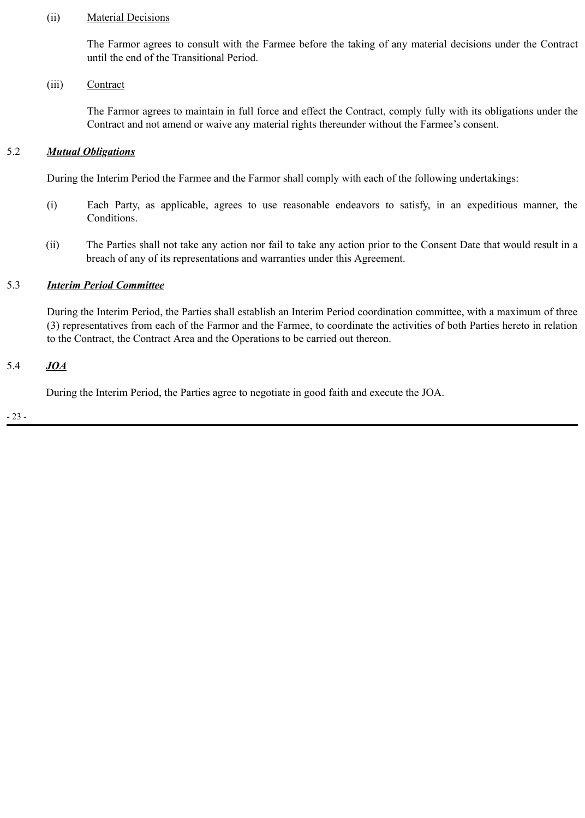#### (ii) Material Decisions

The Farmor agrees to consult with the Farmee before the taking of any material decisions under the Contract until the end of the Transitional Period.

#### (iii) Contract

The Farmor agrees to maintain in full force and effect the Contract, comply fully with its obligations under the Contract and not amend or waive any material rights thereunder without the Farmee's consent.

#### 5.2 *Mutual Obligations*

During the Interim Period the Farmee and the Farmor shall comply with each of the following undertakings:

- (i) Each Party, as applicable, agrees to use reasonable endeavors to satisfy, in an expeditious manner, the Conditions.
- (ii) The Parties shall not take any action nor fail to take any action prior to the Consent Date that would result in a breach of any of its representations and warranties under this Agreement.

#### 5.3 *Interim Period Committee*

During the Interim Period, the Parties shall establish an Interim Period coordination committee, with a maximum of three (3) representatives from each of the Farmor and the Farmee, to coordinate the activities of both Parties hereto in relation to the Contract, the Contract Area and the Operations to be carried out thereon.

#### 5.4 *JOA*

During the Interim Period, the Parties agree to negotiate in good faith and execute the JOA.

- 23 -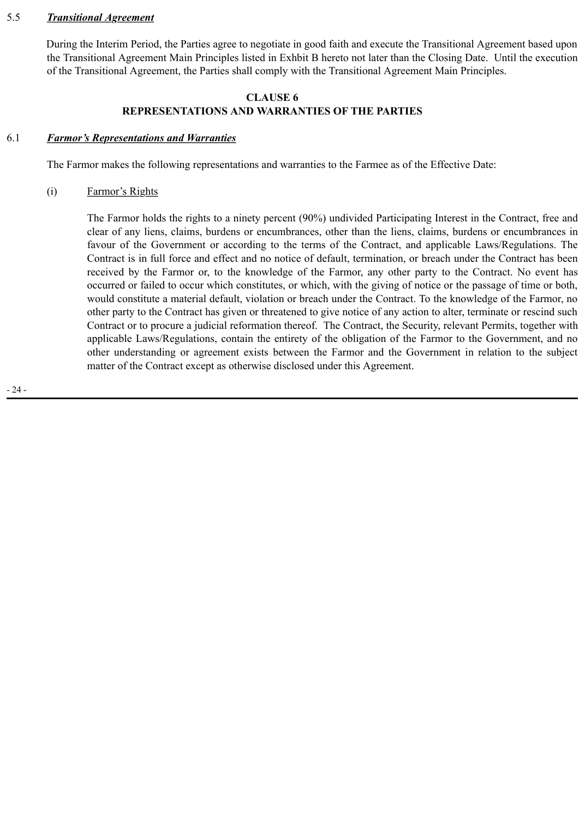#### 5.5 *Transitional Agreement*

During the Interim Period, the Parties agree to negotiate in good faith and execute the Transitional Agreement based upon the Transitional Agreement Main Principles listed in Exhbit B hereto not later than the Closing Date. Until the execution of the Transitional Agreement, the Parties shall comply with the Transitional Agreement Main Principles.

#### **CLAUSE 6**

# **REPRESENTATIONS AND WARRANTIES OF THE PARTIES**

## 6.1 *Farmor's Representations and Warranties*

The Farmor makes the following representations and warranties to the Farmee as of the Effective Date:

#### (i) Farmor's Rights

The Farmor holds the rights to a ninety percent (90%) undivided Participating Interest in the Contract, free and clear of any liens, claims, burdens or encumbrances, other than the liens, claims, burdens or encumbrances in favour of the Government or according to the terms of the Contract, and applicable Laws/Regulations. The Contract is in full force and effect and no notice of default, termination, or breach under the Contract has been received by the Farmor or, to the knowledge of the Farmor, any other party to the Contract. No event has occurred or failed to occur which constitutes, or which, with the giving of notice or the passage of time or both, would constitute a material default, violation or breach under the Contract. To the knowledge of the Farmor, no other party to the Contract has given or threatened to give notice of any action to alter, terminate or rescind such Contract or to procure a judicial reformation thereof. The Contract, the Security, relevant Permits, together with applicable Laws/Regulations, contain the entirety of the obligation of the Farmor to the Government, and no other understanding or agreement exists between the Farmor and the Government in relation to the subject matter of the Contract except as otherwise disclosed under this Agreement.

- 24 -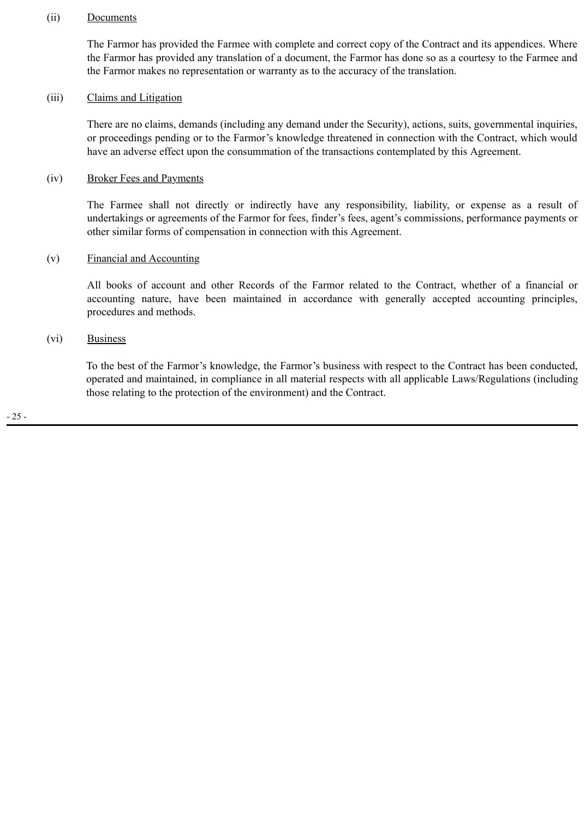#### (ii) Documents

The Farmor has provided the Farmee with complete and correct copy of the Contract and its appendices. Where the Farmor has provided any translation of a document, the Farmor has done so as a courtesy to the Farmee and the Farmor makes no representation or warranty as to the accuracy of the translation.

#### (iii) Claims and Litigation

There are no claims, demands (including any demand under the Security), actions, suits, governmental inquiries, or proceedings pending or to the Farmor's knowledge threatened in connection with the Contract, which would have an adverse effect upon the consummation of the transactions contemplated by this Agreement.

#### (iv) Broker Fees and Payments

The Farmee shall not directly or indirectly have any responsibility, liability, or expense as a result of undertakings or agreements of the Farmor for fees, finder's fees, agent's commissions, performance payments or other similar forms of compensation in connection with this Agreement.

## (v) Financial and Accounting

All books of account and other Records of the Farmor related to the Contract, whether of a financial or accounting nature, have been maintained in accordance with generally accepted accounting principles, procedures and methods.

#### (vi) Business

To the best of the Farmor's knowledge, the Farmor's business with respect to the Contract has been conducted, operated and maintained, in compliance in all material respects with all applicable Laws/Regulations (including those relating to the protection of the environment) and the Contract.

- 25 -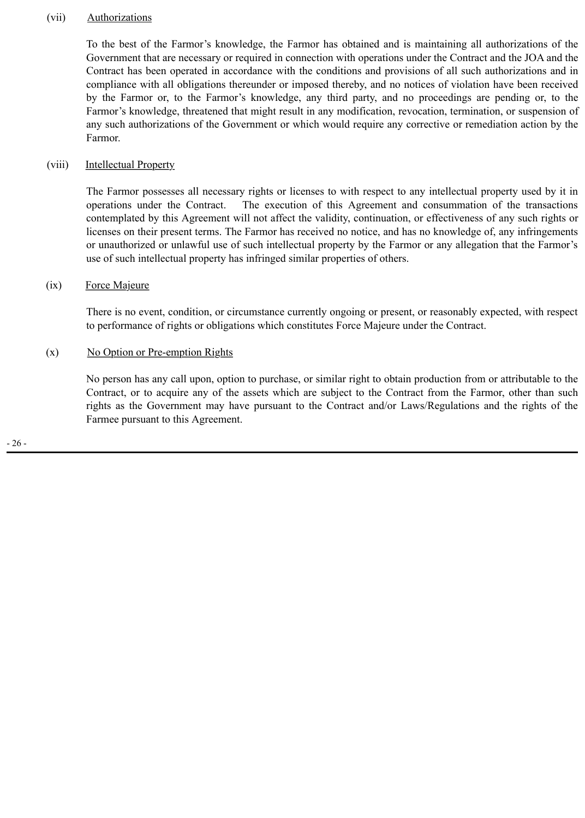#### (vii) Authorizations

To the best of the Farmor's knowledge, the Farmor has obtained and is maintaining all authorizations of the Government that are necessary or required in connection with operations under the Contract and the JOA and the Contract has been operated in accordance with the conditions and provisions of all such authorizations and in compliance with all obligations thereunder or imposed thereby, and no notices of violation have been received by the Farmor or, to the Farmor's knowledge, any third party, and no proceedings are pending or, to the Farmor's knowledge, threatened that might result in any modification, revocation, termination, or suspension of any such authorizations of the Government or which would require any corrective or remediation action by the Farmor.

### (viii) Intellectual Property

The Farmor possesses all necessary rights or licenses to with respect to any intellectual property used by it in operations under the Contract. The execution of this Agreement and consummation of the transactions contemplated by this Agreement will not affect the validity, continuation, or effectiveness of any such rights or licenses on their present terms. The Farmor has received no notice, and has no knowledge of, any infringements or unauthorized or unlawful use of such intellectual property by the Farmor or any allegation that the Farmor's use of such intellectual property has infringed similar properties of others.

#### (ix) Force Majeure

There is no event, condition, or circumstance currently ongoing or present, or reasonably expected, with respect to performance of rights or obligations which constitutes Force Majeure under the Contract.

#### (x) No Option or Pre-emption Rights

No person has any call upon, option to purchase, or similar right to obtain production from or attributable to the Contract, or to acquire any of the assets which are subject to the Contract from the Farmor, other than such rights as the Government may have pursuant to the Contract and/or Laws/Regulations and the rights of the Farmee pursuant to this Agreement.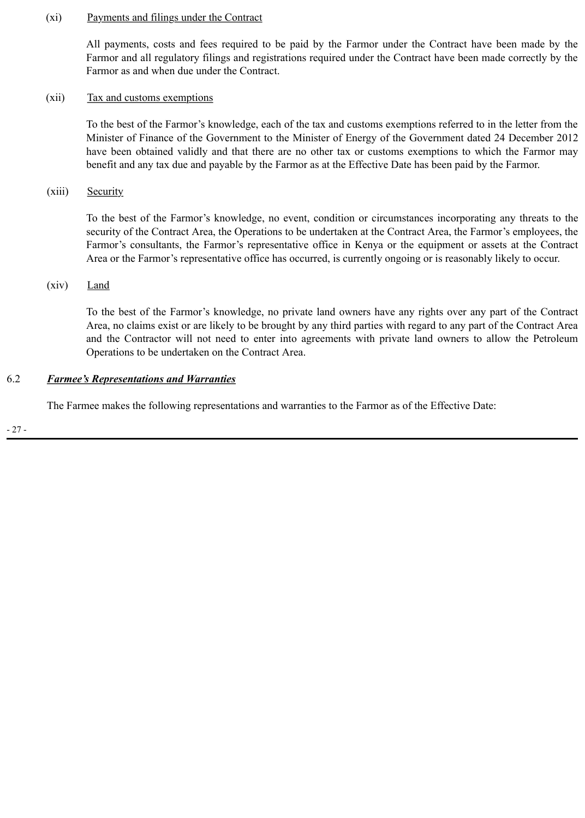#### (xi) Payments and filings under the Contract

All payments, costs and fees required to be paid by the Farmor under the Contract have been made by the Farmor and all regulatory filings and registrations required under the Contract have been made correctly by the Farmor as and when due under the Contract.

#### (xii) Tax and customs exemptions

To the best of the Farmor's knowledge, each of the tax and customs exemptions referred to in the letter from the Minister of Finance of the Government to the Minister of Energy of the Government dated 24 December 2012 have been obtained validly and that there are no other tax or customs exemptions to which the Farmor may benefit and any tax due and payable by the Farmor as at the Effective Date has been paid by the Farmor.

(xiii) Security

To the best of the Farmor's knowledge, no event, condition or circumstances incorporating any threats to the security of the Contract Area, the Operations to be undertaken at the Contract Area, the Farmor's employees, the Farmor's consultants, the Farmor's representative office in Kenya or the equipment or assets at the Contract Area or the Farmor's representative office has occurred, is currently ongoing or is reasonably likely to occur.

#### (xiv) Land

To the best of the Farmor's knowledge, no private land owners have any rights over any part of the Contract Area, no claims exist or are likely to be brought by any third parties with regard to any part of the Contract Area and the Contractor will not need to enter into agreements with private land owners to allow the Petroleum Operations to be undertaken on the Contract Area.

## 6.2 *Farmee's Representations and Warranties*

The Farmee makes the following representations and warranties to the Farmor as of the Effective Date:

- 27 -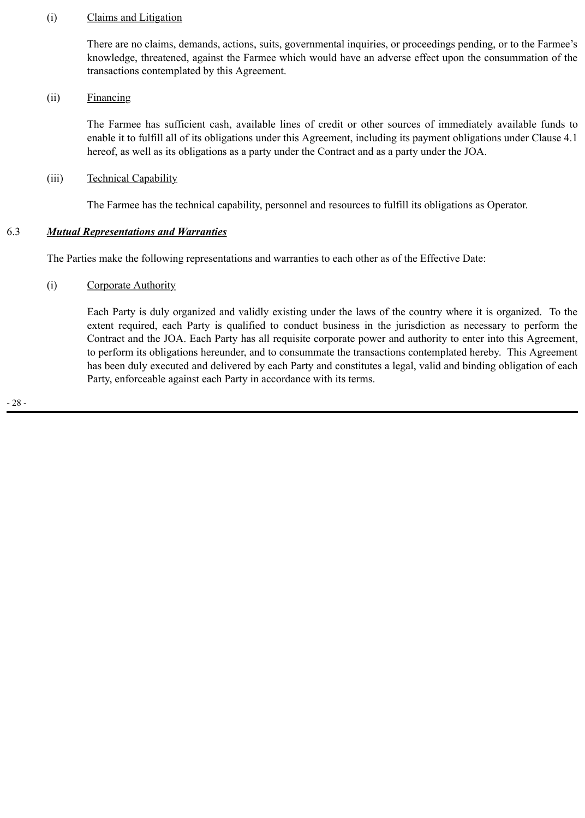### (i) Claims and Litigation

There are no claims, demands, actions, suits, governmental inquiries, or proceedings pending, or to the Farmee's knowledge, threatened, against the Farmee which would have an adverse effect upon the consummation of the transactions contemplated by this Agreement.

## (ii) Financing

The Farmee has sufficient cash, available lines of credit or other sources of immediately available funds to enable it to fulfill all of its obligations under this Agreement, including its payment obligations under Clause 4.1 hereof, as well as its obligations as a party under the Contract and as a party under the JOA.

## (iii) Technical Capability

The Farmee has the technical capability, personnel and resources to fulfill its obligations as Operator.

# 6.3 *Mutual Representations and Warranties*

The Parties make the following representations and warranties to each other as of the Effective Date:

# (i) Corporate Authority

Each Party is duly organized and validly existing under the laws of the country where it is organized. To the extent required, each Party is qualified to conduct business in the jurisdiction as necessary to perform the Contract and the JOA. Each Party has all requisite corporate power and authority to enter into this Agreement, to perform its obligations hereunder, and to consummate the transactions contemplated hereby. This Agreement has been duly executed and delivered by each Party and constitutes a legal, valid and binding obligation of each Party, enforceable against each Party in accordance with its terms.

- 28 -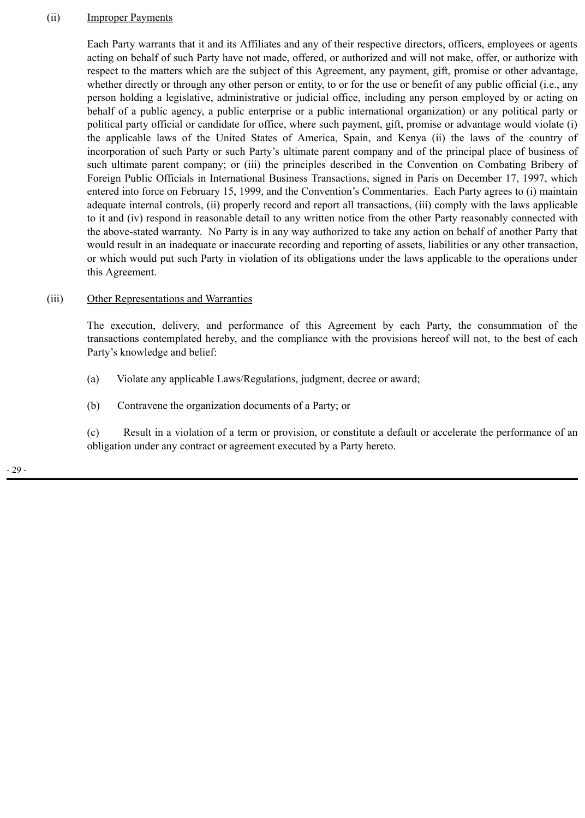#### (ii) Improper Payments

Each Party warrants that it and its Affiliates and any of their respective directors, officers, employees or agents acting on behalf of such Party have not made, offered, or authorized and will not make, offer, or authorize with respect to the matters which are the subject of this Agreement, any payment, gift, promise or other advantage, whether directly or through any other person or entity, to or for the use or benefit of any public official (i.e., any person holding a legislative, administrative or judicial office, including any person employed by or acting on behalf of a public agency, a public enterprise or a public international organization) or any political party or political party official or candidate for office, where such payment, gift, promise or advantage would violate (i) the applicable laws of the United States of America, Spain, and Kenya (ii) the laws of the country of incorporation of such Party or such Party's ultimate parent company and of the principal place of business of such ultimate parent company; or (iii) the principles described in the Convention on Combating Bribery of Foreign Public Officials in International Business Transactions, signed in Paris on December 17, 1997, which entered into force on February 15, 1999, and the Convention's Commentaries. Each Party agrees to (i) maintain adequate internal controls, (ii) properly record and report all transactions, (iii) comply with the laws applicable to it and (iv) respond in reasonable detail to any written notice from the other Party reasonably connected with the above-stated warranty. No Party is in any way authorized to take any action on behalf of another Party that would result in an inadequate or inaccurate recording and reporting of assets, liabilities or any other transaction, or which would put such Party in violation of its obligations under the laws applicable to the operations under this Agreement.

#### (iii) Other Representations and Warranties

The execution, delivery, and performance of this Agreement by each Party, the consummation of the transactions contemplated hereby, and the compliance with the provisions hereof will not, to the best of each Party's knowledge and belief:

- (a) Violate any applicable Laws/Regulations, judgment, decree or award;
- (b) Contravene the organization documents of a Party; or

(c) Result in a violation of a term or provision, or constitute a default or accelerate the performance of an obligation under any contract or agreement executed by a Party hereto.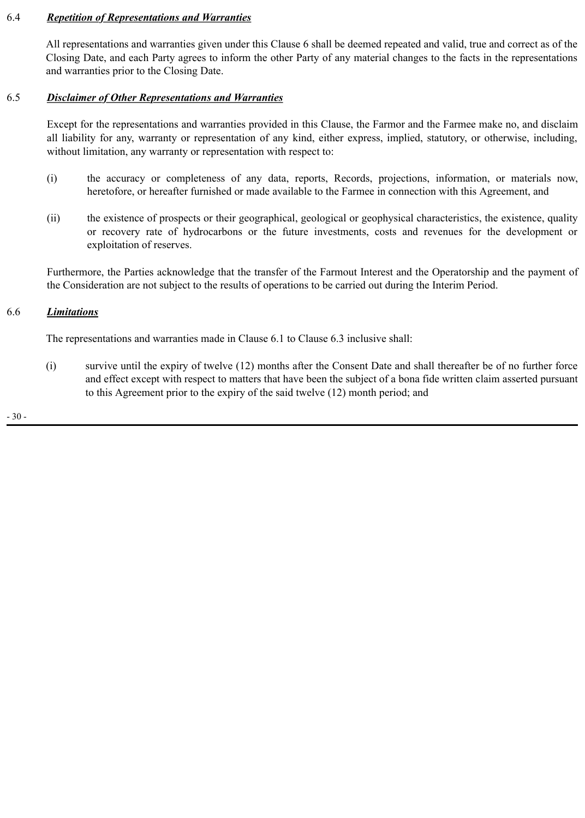## 6.4 *Repetition of Representations and Warranties*

All representations and warranties given under this Clause 6 shall be deemed repeated and valid, true and correct as of the Closing Date, and each Party agrees to inform the other Party of any material changes to the facts in the representations and warranties prior to the Closing Date.

#### 6.5 *Disclaimer of Other Representations and Warranties*

Except for the representations and warranties provided in this Clause, the Farmor and the Farmee make no, and disclaim all liability for any, warranty or representation of any kind, either express, implied, statutory, or otherwise, including, without limitation, any warranty or representation with respect to:

- (i) the accuracy or completeness of any data, reports, Records, projections, information, or materials now, heretofore, or hereafter furnished or made available to the Farmee in connection with this Agreement, and
- (ii) the existence of prospects or their geographical, geological or geophysical characteristics, the existence, quality or recovery rate of hydrocarbons or the future investments, costs and revenues for the development or exploitation of reserves.

Furthermore, the Parties acknowledge that the transfer of the Farmout Interest and the Operatorship and the payment of the Consideration are not subject to the results of operations to be carried out during the Interim Period.

## 6.6 *Limitations*

The representations and warranties made in Clause 6.1 to Clause 6.3 inclusive shall:

(i) survive until the expiry of twelve (12) months after the Consent Date and shall thereafter be of no further force and effect except with respect to matters that have been the subject of a bona fide written claim asserted pursuant to this Agreement prior to the expiry of the said twelve (12) month period; and

- 30 -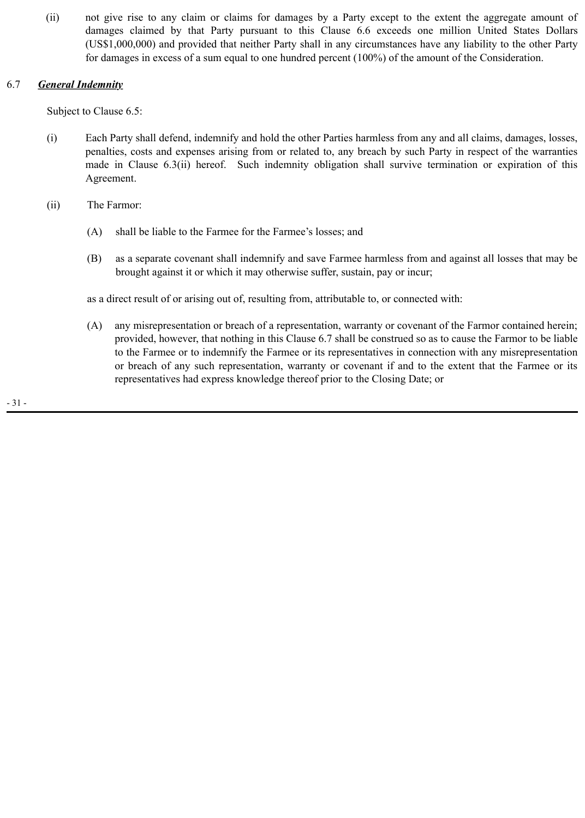(ii) not give rise to any claim or claims for damages by a Party except to the extent the aggregate amount of damages claimed by that Party pursuant to this Clause 6.6 exceeds one million United States Dollars (US\$1,000,000) and provided that neither Party shall in any circumstances have any liability to the other Party for damages in excess of a sum equal to one hundred percent (100%) of the amount of the Consideration.

# 6.7 *General Indemnity*

Subject to Clause 6.5:

- (i) Each Party shall defend, indemnify and hold the other Parties harmless from any and all claims, damages, losses, penalties, costs and expenses arising from or related to, any breach by such Party in respect of the warranties made in Clause 6.3(ii) hereof. Such indemnity obligation shall survive termination or expiration of this Agreement.
- (ii) The Farmor:
	- (A) shall be liable to the Farmee for the Farmee's losses; and
	- (B) as a separate covenant shall indemnify and save Farmee harmless from and against all losses that may be brought against it or which it may otherwise suffer, sustain, pay or incur;

as a direct result of or arising out of, resulting from, attributable to, or connected with:

(A) any misrepresentation or breach of a representation, warranty or covenant of the Farmor contained herein; provided, however, that nothing in this Clause 6.7 shall be construed so as to cause the Farmor to be liable to the Farmee or to indemnify the Farmee or its representatives in connection with any misrepresentation or breach of any such representation, warranty or covenant if and to the extent that the Farmee or its representatives had express knowledge thereof prior to the Closing Date; or

- 31 -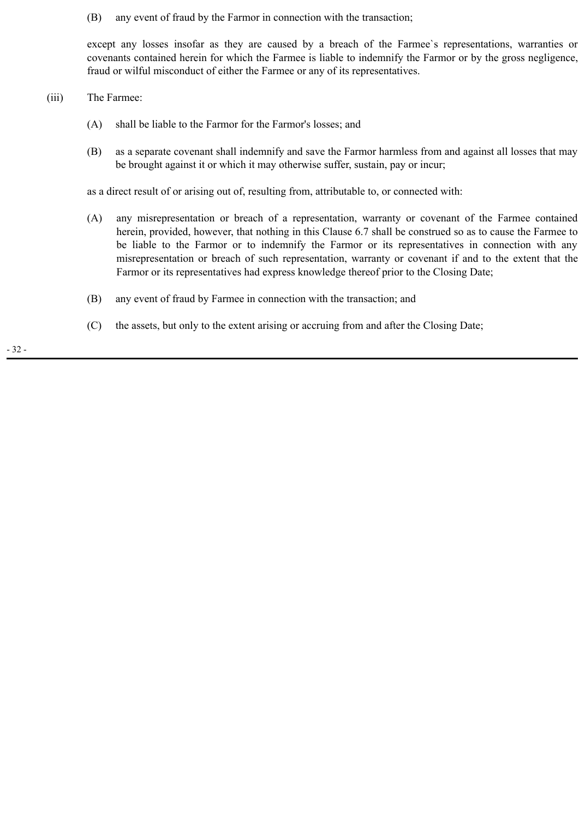(B) any event of fraud by the Farmor in connection with the transaction;

except any losses insofar as they are caused by a breach of the Farmee`s representations, warranties or covenants contained herein for which the Farmee is liable to indemnify the Farmor or by the gross negligence, fraud or wilful misconduct of either the Farmee or any of its representatives.

#### (iii) The Farmee:

- (A) shall be liable to the Farmor for the Farmor's losses; and
- (B) as a separate covenant shall indemnify and save the Farmor harmless from and against all losses that may be brought against it or which it may otherwise suffer, sustain, pay or incur;

as a direct result of or arising out of, resulting from, attributable to, or connected with:

- (A) any misrepresentation or breach of a representation, warranty or covenant of the Farmee contained herein, provided, however, that nothing in this Clause 6.7 shall be construed so as to cause the Farmee to be liable to the Farmor or to indemnify the Farmor or its representatives in connection with any misrepresentation or breach of such representation, warranty or covenant if and to the extent that the Farmor or its representatives had express knowledge thereof prior to the Closing Date;
- (B) any event of fraud by Farmee in connection with the transaction; and
- (C) the assets, but only to the extent arising or accruing from and after the Closing Date;

- 32 -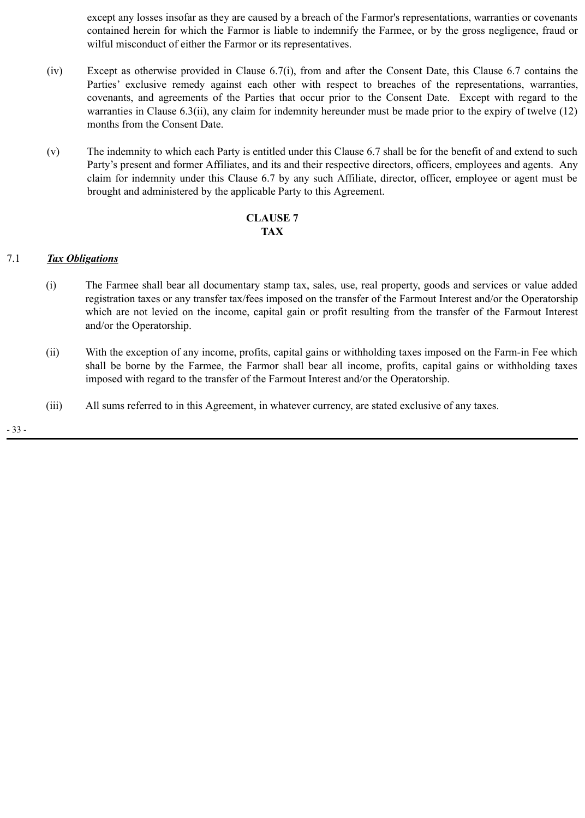except any losses insofar as they are caused by a breach of the Farmor's representations, warranties or covenants contained herein for which the Farmor is liable to indemnify the Farmee, or by the gross negligence, fraud or wilful misconduct of either the Farmor or its representatives.

- (iv) Except as otherwise provided in Clause 6.7(i), from and after the Consent Date, this Clause 6.7 contains the Parties' exclusive remedy against each other with respect to breaches of the representations, warranties, covenants, and agreements of the Parties that occur prior to the Consent Date. Except with regard to the warranties in Clause 6.3(ii), any claim for indemnity hereunder must be made prior to the expiry of twelve (12) months from the Consent Date.
- (v) The indemnity to which each Party is entitled under this Clause 6.7 shall be for the benefit of and extend to such Party's present and former Affiliates, and its and their respective directors, officers, employees and agents. Any claim for indemnity under this Clause 6.7 by any such Affiliate, director, officer, employee or agent must be brought and administered by the applicable Party to this Agreement.

## **CLAUSE 7 TAX**

## 7.1 *Tax Obligations*

- (i) The Farmee shall bear all documentary stamp tax, sales, use, real property, goods and services or value added registration taxes or any transfer tax/fees imposed on the transfer of the Farmout Interest and/or the Operatorship which are not levied on the income, capital gain or profit resulting from the transfer of the Farmout Interest and/or the Operatorship.
- (ii) With the exception of any income, profits, capital gains or withholding taxes imposed on the Farm-in Fee which shall be borne by the Farmee, the Farmor shall bear all income, profits, capital gains or withholding taxes imposed with regard to the transfer of the Farmout Interest and/or the Operatorship.
- (iii) All sums referred to in this Agreement, in whatever currency, are stated exclusive of any taxes.

- 33 -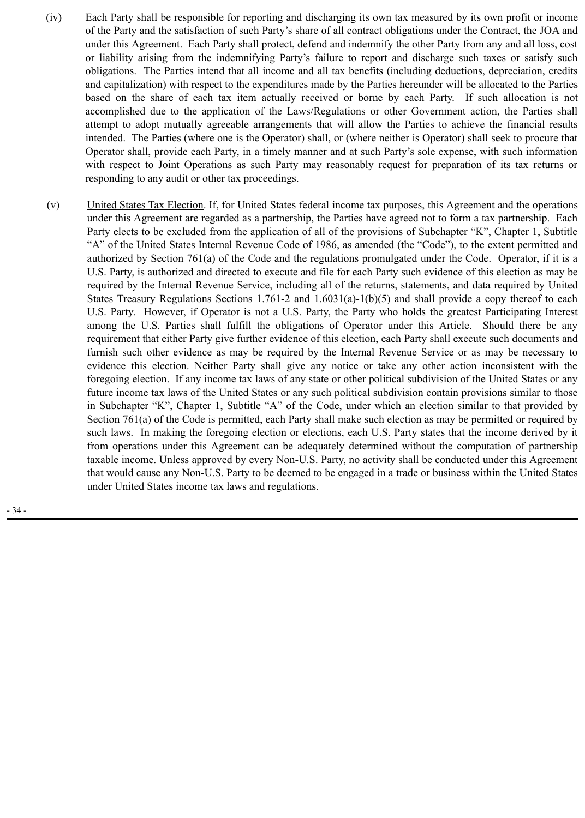- (iv) Each Party shall be responsible for reporting and discharging its own tax measured by its own profit or income of the Party and the satisfaction of such Party's share of all contract obligations under the Contract, the JOA and under this Agreement. Each Party shall protect, defend and indemnify the other Party from any and all loss, cost or liability arising from the indemnifying Party's failure to report and discharge such taxes or satisfy such obligations. The Parties intend that all income and all tax benefits (including deductions, depreciation, credits and capitalization) with respect to the expenditures made by the Parties hereunder will be allocated to the Parties based on the share of each tax item actually received or borne by each Party. If such allocation is not accomplished due to the application of the Laws/Regulations or other Government action, the Parties shall attempt to adopt mutually agreeable arrangements that will allow the Parties to achieve the financial results intended. The Parties (where one is the Operator) shall, or (where neither is Operator) shall seek to procure that Operator shall, provide each Party, in a timely manner and at such Party's sole expense, with such information with respect to Joint Operations as such Party may reasonably request for preparation of its tax returns or responding to any audit or other tax proceedings.
- (v) United States Tax Election. If, for United States federal income tax purposes, this Agreement and the operations under this Agreement are regarded as a partnership, the Parties have agreed not to form a tax partnership. Each Party elects to be excluded from the application of all of the provisions of Subchapter "K", Chapter 1, Subtitle "A" of the United States Internal Revenue Code of 1986, as amended (the "Code"), to the extent permitted and authorized by Section 761(a) of the Code and the regulations promulgated under the Code. Operator, if it is a U.S. Party, is authorized and directed to execute and file for each Party such evidence of this election as may be required by the Internal Revenue Service, including all of the returns, statements, and data required by United States Treasury Regulations Sections 1.761-2 and 1.6031(a)-1(b)(5) and shall provide a copy thereof to each U.S. Party. However, if Operator is not a U.S. Party, the Party who holds the greatest Participating Interest among the U.S. Parties shall fulfill the obligations of Operator under this Article. Should there be any requirement that either Party give further evidence of this election, each Party shall execute such documents and furnish such other evidence as may be required by the Internal Revenue Service or as may be necessary to evidence this election. Neither Party shall give any notice or take any other action inconsistent with the foregoing election. If any income tax laws of any state or other political subdivision of the United States or any future income tax laws of the United States or any such political subdivision contain provisions similar to those in Subchapter "K", Chapter 1, Subtitle "A" of the Code, under which an election similar to that provided by Section 761(a) of the Code is permitted, each Party shall make such election as may be permitted or required by such laws. In making the foregoing election or elections, each U.S. Party states that the income derived by it from operations under this Agreement can be adequately determined without the computation of partnership taxable income. Unless approved by every Non-U.S. Party, no activity shall be conducted under this Agreement that would cause any Non-U.S. Party to be deemed to be engaged in a trade or business within the United States under United States income tax laws and regulations.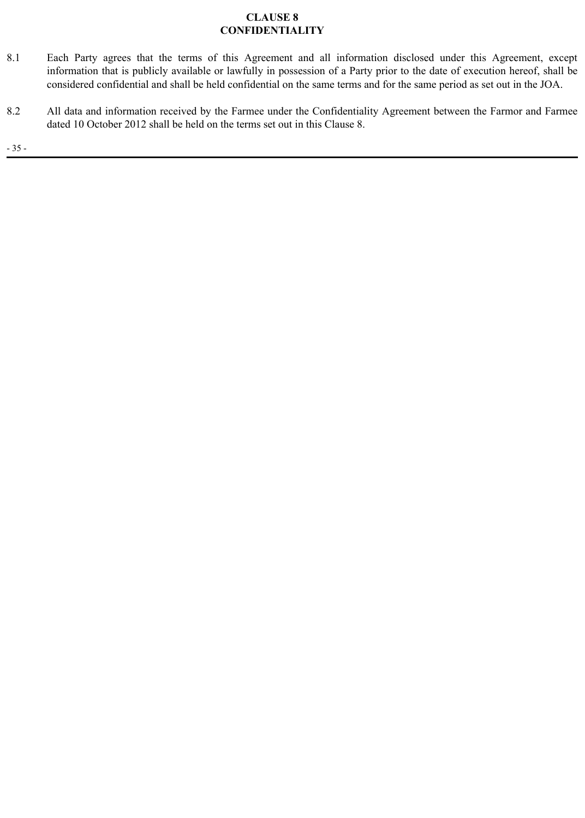# **CLAUSE 8 CONFIDENTIALITY**

- 8.1 Each Party agrees that the terms of this Agreement and all information disclosed under this Agreement, except information that is publicly available or lawfully in possession of a Party prior to the date of execution hereof, shall be considered confidential and shall be held confidential on the same terms and for the same period as set out in the JOA.
- 8.2 All data and information received by the Farmee under the Confidentiality Agreement between the Farmor and Farmee dated 10 October 2012 shall be held on the terms set out in this Clause 8.

- 35 -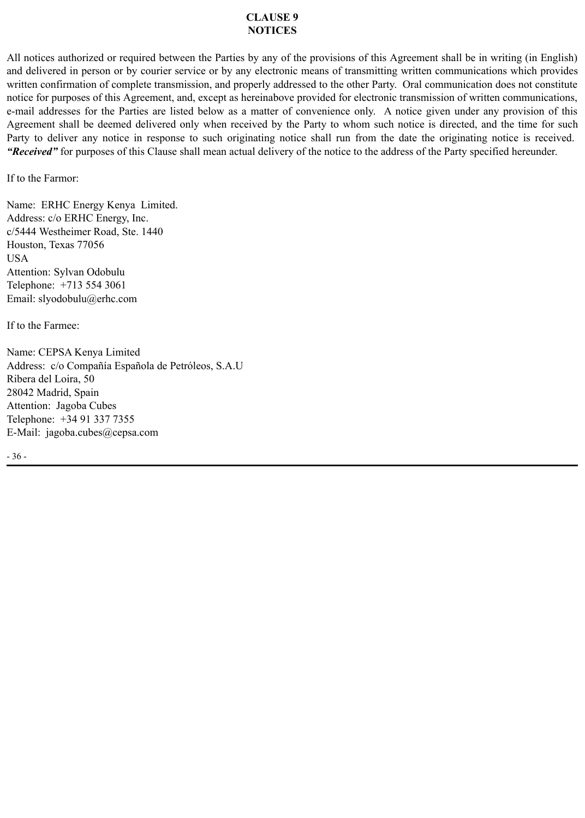#### **CLAUSE 9 NOTICES**

All notices authorized or required between the Parties by any of the provisions of this Agreement shall be in writing (in English) and delivered in person or by courier service or by any electronic means of transmitting written communications which provides written confirmation of complete transmission, and properly addressed to the other Party. Oral communication does not constitute notice for purposes of this Agreement, and, except as hereinabove provided for electronic transmission of written communications, e-mail addresses for the Parties are listed below as a matter of convenience only. A notice given under any provision of this Agreement shall be deemed delivered only when received by the Party to whom such notice is directed, and the time for such Party to deliver any notice in response to such originating notice shall run from the date the originating notice is received. *"Received"* for purposes of this Clause shall mean actual delivery of the notice to the address of the Party specified hereunder.

If to the Farmor:

Name: ERHC Energy Kenya Limited. Address: c/o ERHC Energy, Inc. c/5444 Westheimer Road, Ste. 1440 Houston, Texas 77056 USA Attention: Sylvan Odobulu Telephone: +713 554 3061 Email: slyodobulu@erhc.com

If to the Farmee:

Name: CEPSA Kenya Limited Address: c/o Compañía Española de Petróleos, S.A.U Ribera del Loira, 50 28042 Madrid, Spain Attention: Jagoba Cubes Telephone: +34 91 337 7355 E-Mail: jagoba.cubes@cepsa.com

- 36 -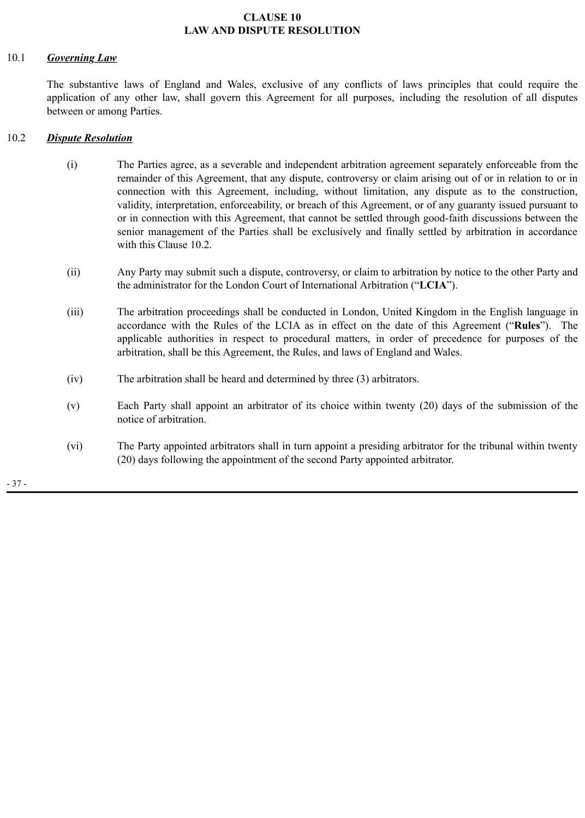### **CLAUSE 10 LAW AND DISPUTE RESOLUTION**

#### 10.1 *Governing Law*

The substantive laws of England and Wales, exclusive of any conflicts of laws principles that could require the application of any other law, shall govern this Agreement for all purposes, including the resolution of all disputes between or among Parties.

## 10.2 *Dispute Resolution*

- (i) The Parties agree, as a severable and independent arbitration agreement separately enforceable from the remainder of this Agreement, that any dispute, controversy or claim arising out of or in relation to or in connection with this Agreement, including, without limitation, any dispute as to the construction, validity, interpretation, enforceability, or breach of this Agreement, or of any guaranty issued pursuant to or in connection with this Agreement, that cannot be settled through good-faith discussions between the senior management of the Parties shall be exclusively and finally settled by arbitration in accordance with this Clause 10.2.
- (ii) Any Party may submit such a dispute, controversy, or claim to arbitration by notice to the other Party and the administrator for the London Court of International Arbitration ("**LCIA**").
- (iii) The arbitration proceedings shall be conducted in London, United Kingdom in the English language in accordance with the Rules of the LCIA as in effect on the date of this Agreement ("**Rules**"). The applicable authorities in respect to procedural matters, in order of precedence for purposes of the arbitration, shall be this Agreement, the Rules, and laws of England and Wales.
- (iv) The arbitration shall be heard and determined by three (3) arbitrators.
- (v) Each Party shall appoint an arbitrator of its choice within twenty (20) days of the submission of the notice of arbitration.
- (vi) The Party appointed arbitrators shall in turn appoint a presiding arbitrator for the tribunal within twenty (20) days following the appointment of the second Party appointed arbitrator.

- 37 -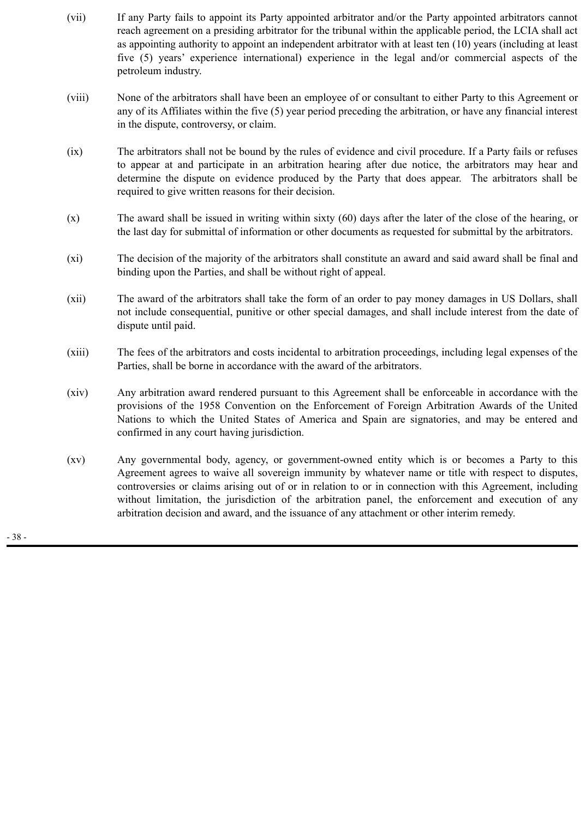- (vii) If any Party fails to appoint its Party appointed arbitrator and/or the Party appointed arbitrators cannot reach agreement on a presiding arbitrator for the tribunal within the applicable period, the LCIA shall act as appointing authority to appoint an independent arbitrator with at least ten (10) years (including at least five (5) years' experience international) experience in the legal and/or commercial aspects of the petroleum industry.
- (viii) None of the arbitrators shall have been an employee of or consultant to either Party to this Agreement or any of its Affiliates within the five (5) year period preceding the arbitration, or have any financial interest in the dispute, controversy, or claim.
- (ix) The arbitrators shall not be bound by the rules of evidence and civil procedure. If a Party fails or refuses to appear at and participate in an arbitration hearing after due notice, the arbitrators may hear and determine the dispute on evidence produced by the Party that does appear. The arbitrators shall be required to give written reasons for their decision.
- (x) The award shall be issued in writing within sixty (60) days after the later of the close of the hearing, or the last day for submittal of information or other documents as requested for submittal by the arbitrators.
- (xi) The decision of the majority of the arbitrators shall constitute an award and said award shall be final and binding upon the Parties, and shall be without right of appeal.
- (xii) The award of the arbitrators shall take the form of an order to pay money damages in US Dollars, shall not include consequential, punitive or other special damages, and shall include interest from the date of dispute until paid.
- (xiii) The fees of the arbitrators and costs incidental to arbitration proceedings, including legal expenses of the Parties, shall be borne in accordance with the award of the arbitrators.
- (xiv) Any arbitration award rendered pursuant to this Agreement shall be enforceable in accordance with the provisions of the 1958 Convention on the Enforcement of Foreign Arbitration Awards of the United Nations to which the United States of America and Spain are signatories, and may be entered and confirmed in any court having jurisdiction.
- (xv) Any governmental body, agency, or government-owned entity which is or becomes a Party to this Agreement agrees to waive all sovereign immunity by whatever name or title with respect to disputes, controversies or claims arising out of or in relation to or in connection with this Agreement, including without limitation, the jurisdiction of the arbitration panel, the enforcement and execution of any arbitration decision and award, and the issuance of any attachment or other interim remedy.

- 38 -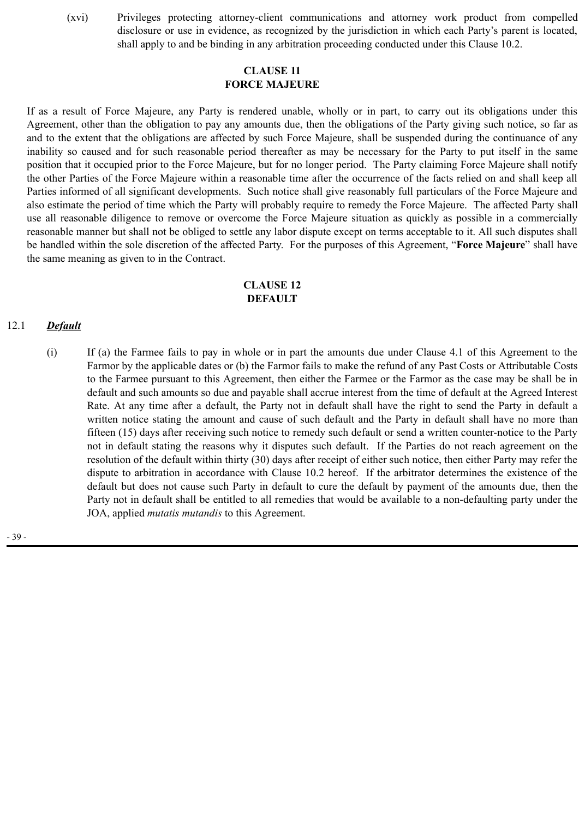(xvi) Privileges protecting attorney-client communications and attorney work product from compelled disclosure or use in evidence, as recognized by the jurisdiction in which each Party's parent is located, shall apply to and be binding in any arbitration proceeding conducted under this Clause 10.2.

## **CLAUSE 11 FORCE MAJEURE**

If as a result of Force Majeure, any Party is rendered unable, wholly or in part, to carry out its obligations under this Agreement, other than the obligation to pay any amounts due, then the obligations of the Party giving such notice, so far as and to the extent that the obligations are affected by such Force Majeure, shall be suspended during the continuance of any inability so caused and for such reasonable period thereafter as may be necessary for the Party to put itself in the same position that it occupied prior to the Force Majeure, but for no longer period. The Party claiming Force Majeure shall notify the other Parties of the Force Majeure within a reasonable time after the occurrence of the facts relied on and shall keep all Parties informed of all significant developments. Such notice shall give reasonably full particulars of the Force Majeure and also estimate the period of time which the Party will probably require to remedy the Force Majeure. The affected Party shall use all reasonable diligence to remove or overcome the Force Majeure situation as quickly as possible in a commercially reasonable manner but shall not be obliged to settle any labor dispute except on terms acceptable to it. All such disputes shall be handled within the sole discretion of the affected Party. For the purposes of this Agreement, "**Force Majeure**" shall have the same meaning as given to in the Contract.

## **CLAUSE 12 DEFAULT**

#### 12.1 *Default*

(i) If (a) the Farmee fails to pay in whole or in part the amounts due under Clause 4.1 of this Agreement to the Farmor by the applicable dates or (b) the Farmor fails to make the refund of any Past Costs or Attributable Costs to the Farmee pursuant to this Agreement, then either the Farmee or the Farmor as the case may be shall be in default and such amounts so due and payable shall accrue interest from the time of default at the Agreed Interest Rate. At any time after a default, the Party not in default shall have the right to send the Party in default a written notice stating the amount and cause of such default and the Party in default shall have no more than fifteen (15) days after receiving such notice to remedy such default or send a written counter-notice to the Party not in default stating the reasons why it disputes such default. If the Parties do not reach agreement on the resolution of the default within thirty (30) days after receipt of either such notice, then either Party may refer the dispute to arbitration in accordance with Clause 10.2 hereof. If the arbitrator determines the existence of the default but does not cause such Party in default to cure the default by payment of the amounts due, then the Party not in default shall be entitled to all remedies that would be available to a non-defaulting party under the JOA, applied *mutatis mutandis* to this Agreement.

- 39 -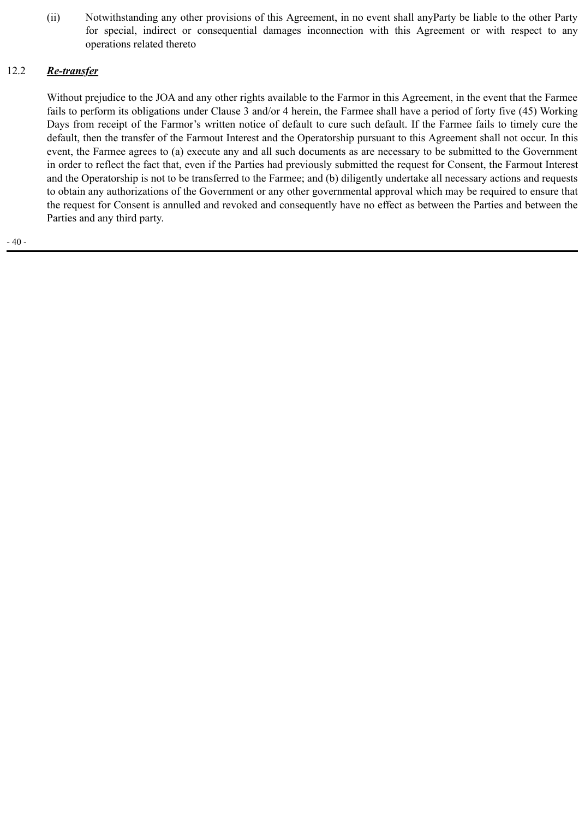(ii) Notwithstanding any other provisions of this Agreement, in no event shall anyParty be liable to the other Party for special, indirect or consequential damages inconnection with this Agreement or with respect to any operations related thereto

# 12.2 *Re-transfer*

Without prejudice to the JOA and any other rights available to the Farmor in this Agreement, in the event that the Farmee fails to perform its obligations under Clause 3 and/or 4 herein, the Farmee shall have a period of forty five (45) Working Days from receipt of the Farmor's written notice of default to cure such default. If the Farmee fails to timely cure the default, then the transfer of the Farmout Interest and the Operatorship pursuant to this Agreement shall not occur. In this event, the Farmee agrees to (a) execute any and all such documents as are necessary to be submitted to the Government in order to reflect the fact that, even if the Parties had previously submitted the request for Consent, the Farmout Interest and the Operatorship is not to be transferred to the Farmee; and (b) diligently undertake all necessary actions and requests to obtain any authorizations of the Government or any other governmental approval which may be required to ensure that the request for Consent is annulled and revoked and consequently have no effect as between the Parties and between the Parties and any third party.

- 40 -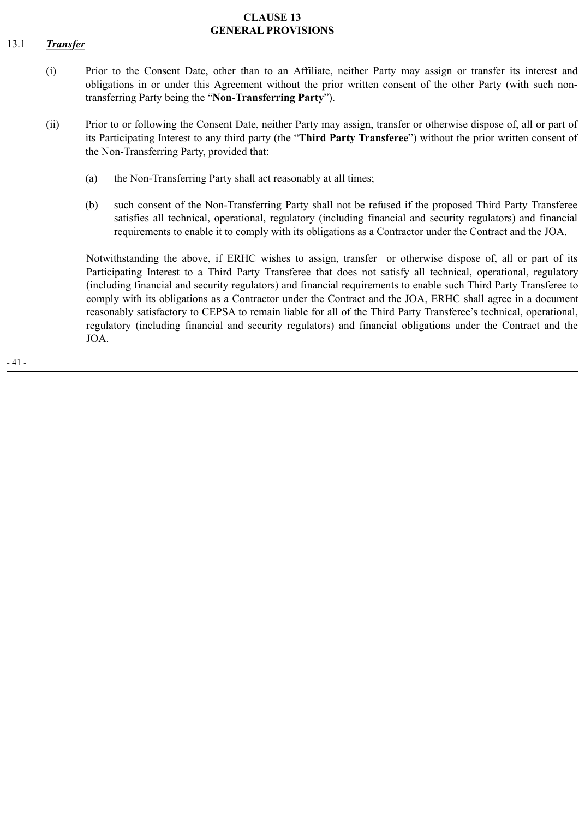#### **CLAUSE 13 GENERAL PROVISIONS**

# 13.1 *Transfer*

- (i) Prior to the Consent Date, other than to an Affiliate, neither Party may assign or transfer its interest and obligations in or under this Agreement without the prior written consent of the other Party (with such nontransferring Party being the "**Non-Transferring Party**").
- (ii) Prior to or following the Consent Date, neither Party may assign, transfer or otherwise dispose of, all or part of its Participating Interest to any third party (the "**Third Party Transferee**") without the prior written consent of the Non-Transferring Party, provided that:
	- (a) the Non-Transferring Party shall act reasonably at all times;
	- (b) such consent of the Non-Transferring Party shall not be refused if the proposed Third Party Transferee satisfies all technical, operational, regulatory (including financial and security regulators) and financial requirements to enable it to comply with its obligations as a Contractor under the Contract and the JOA.

Notwithstanding the above, if ERHC wishes to assign, transfer or otherwise dispose of, all or part of its Participating Interest to a Third Party Transferee that does not satisfy all technical, operational, regulatory (including financial and security regulators) and financial requirements to enable such Third Party Transferee to comply with its obligations as a Contractor under the Contract and the JOA, ERHC shall agree in a document reasonably satisfactory to CEPSA to remain liable for all of the Third Party Transferee's technical, operational, regulatory (including financial and security regulators) and financial obligations under the Contract and the JOA.

- 41 -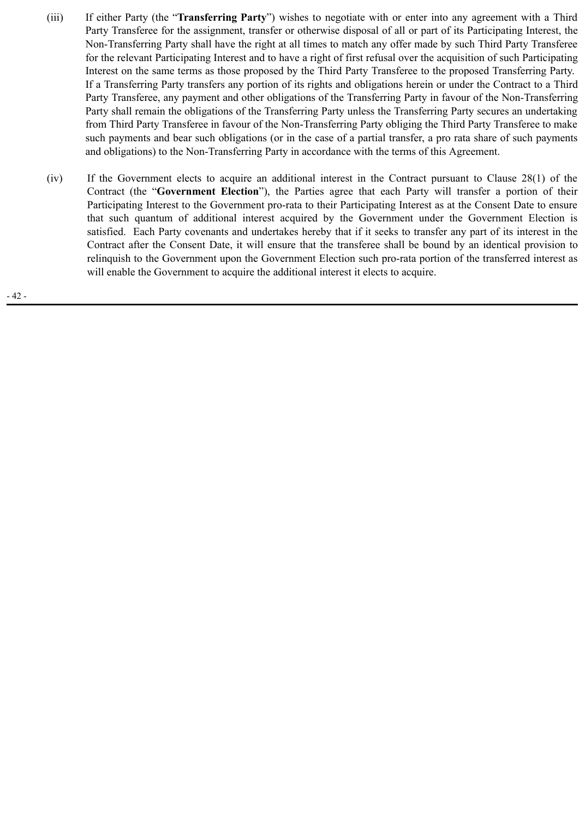- (iii) If either Party (the "**Transferring Party**") wishes to negotiate with or enter into any agreement with a Third Party Transferee for the assignment, transfer or otherwise disposal of all or part of its Participating Interest, the Non-Transferring Party shall have the right at all times to match any offer made by such Third Party Transferee for the relevant Participating Interest and to have a right of first refusal over the acquisition of such Participating Interest on the same terms as those proposed by the Third Party Transferee to the proposed Transferring Party. If a Transferring Party transfers any portion of its rights and obligations herein or under the Contract to a Third Party Transferee, any payment and other obligations of the Transferring Party in favour of the Non-Transferring Party shall remain the obligations of the Transferring Party unless the Transferring Party secures an undertaking from Third Party Transferee in favour of the Non-Transferring Party obliging the Third Party Transferee to make such payments and bear such obligations (or in the case of a partial transfer, a pro rata share of such payments and obligations) to the Non-Transferring Party in accordance with the terms of this Agreement.
- (iv) If the Government elects to acquire an additional interest in the Contract pursuant to Clause 28(1) of the Contract (the "**Government Election**"), the Parties agree that each Party will transfer a portion of their Participating Interest to the Government pro-rata to their Participating Interest as at the Consent Date to ensure that such quantum of additional interest acquired by the Government under the Government Election is satisfied. Each Party covenants and undertakes hereby that if it seeks to transfer any part of its interest in the Contract after the Consent Date, it will ensure that the transferee shall be bound by an identical provision to relinquish to the Government upon the Government Election such pro-rata portion of the transferred interest as will enable the Government to acquire the additional interest it elects to acquire.

- 42 -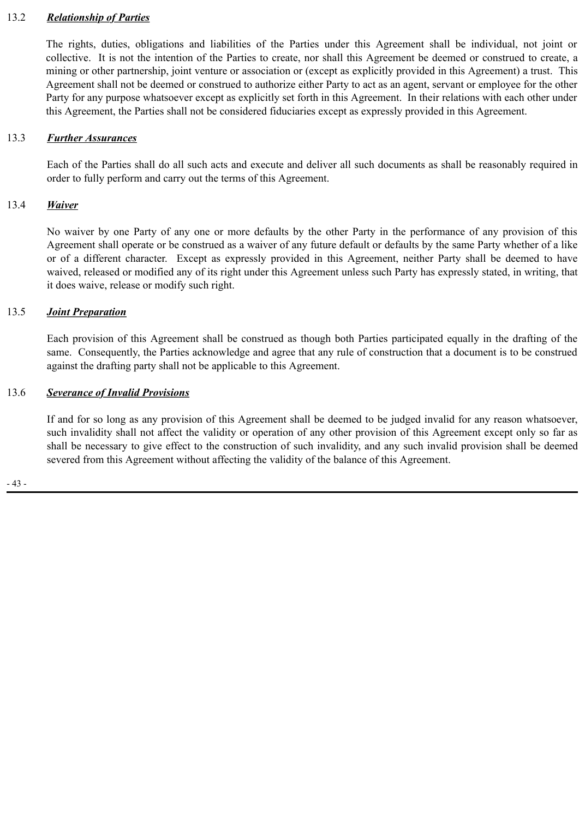### 13.2 *Relationship of Parties*

The rights, duties, obligations and liabilities of the Parties under this Agreement shall be individual, not joint or collective. It is not the intention of the Parties to create, nor shall this Agreement be deemed or construed to create, a mining or other partnership, joint venture or association or (except as explicitly provided in this Agreement) a trust. This Agreement shall not be deemed or construed to authorize either Party to act as an agent, servant or employee for the other Party for any purpose whatsoever except as explicitly set forth in this Agreement. In their relations with each other under this Agreement, the Parties shall not be considered fiduciaries except as expressly provided in this Agreement.

### 13.3 *Further Assurances*

Each of the Parties shall do all such acts and execute and deliver all such documents as shall be reasonably required in order to fully perform and carry out the terms of this Agreement.

#### 13.4 *Waiver*

No waiver by one Party of any one or more defaults by the other Party in the performance of any provision of this Agreement shall operate or be construed as a waiver of any future default or defaults by the same Party whether of a like or of a different character. Except as expressly provided in this Agreement, neither Party shall be deemed to have waived, released or modified any of its right under this Agreement unless such Party has expressly stated, in writing, that it does waive, release or modify such right.

#### 13.5 *Joint Preparation*

Each provision of this Agreement shall be construed as though both Parties participated equally in the drafting of the same. Consequently, the Parties acknowledge and agree that any rule of construction that a document is to be construed against the drafting party shall not be applicable to this Agreement.

#### 13.6 *Severance of Invalid Provisions*

If and for so long as any provision of this Agreement shall be deemed to be judged invalid for any reason whatsoever, such invalidity shall not affect the validity or operation of any other provision of this Agreement except only so far as shall be necessary to give effect to the construction of such invalidity, and any such invalid provision shall be deemed severed from this Agreement without affecting the validity of the balance of this Agreement.

- 43 -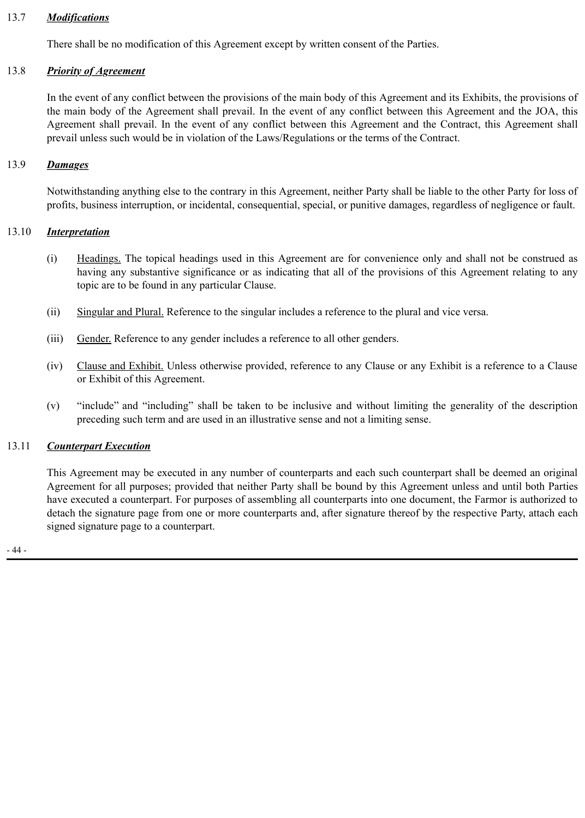## 13.7 *Modifications*

There shall be no modification of this Agreement except by written consent of the Parties.

### 13.8 *Priority of Agreement*

In the event of any conflict between the provisions of the main body of this Agreement and its Exhibits, the provisions of the main body of the Agreement shall prevail. In the event of any conflict between this Agreement and the JOA, this Agreement shall prevail. In the event of any conflict between this Agreement and the Contract, this Agreement shall prevail unless such would be in violation of the Laws/Regulations or the terms of the Contract.

### 13.9 *Damages*

Notwithstanding anything else to the contrary in this Agreement, neither Party shall be liable to the other Party for loss of profits, business interruption, or incidental, consequential, special, or punitive damages, regardless of negligence or fault.

#### 13.10 *Interpretation*

- (i) Headings. The topical headings used in this Agreement are for convenience only and shall not be construed as having any substantive significance or as indicating that all of the provisions of this Agreement relating to any topic are to be found in any particular Clause.
- (ii) Singular and Plural. Reference to the singular includes a reference to the plural and vice versa.
- (iii) Gender. Reference to any gender includes a reference to all other genders.
- (iv) Clause and Exhibit. Unless otherwise provided, reference to any Clause or any Exhibit is a reference to a Clause or Exhibit of this Agreement.
- (v) "include" and "including" shall be taken to be inclusive and without limiting the generality of the description preceding such term and are used in an illustrative sense and not a limiting sense.

#### 13.11 *Counterpart Execution*

This Agreement may be executed in any number of counterparts and each such counterpart shall be deemed an original Agreement for all purposes; provided that neither Party shall be bound by this Agreement unless and until both Parties have executed a counterpart. For purposes of assembling all counterparts into one document, the Farmor is authorized to detach the signature page from one or more counterparts and, after signature thereof by the respective Party, attach each signed signature page to a counterpart.

- 44 -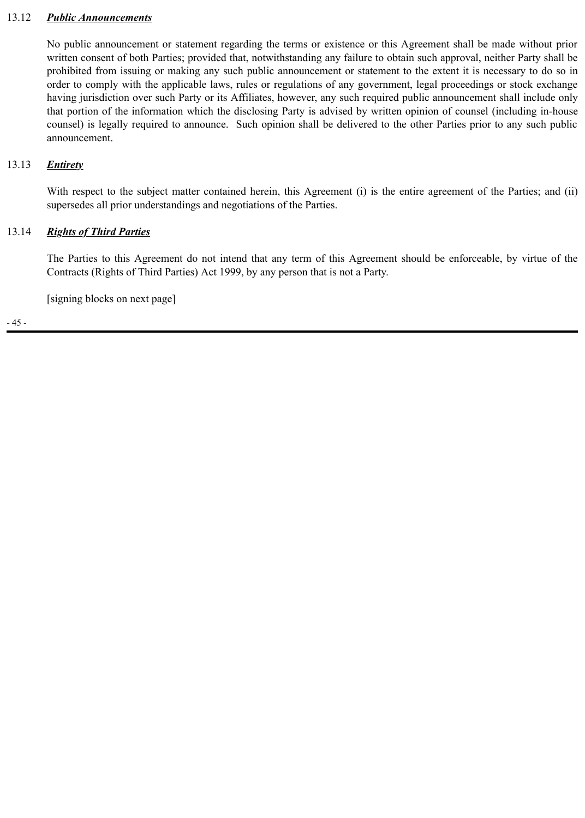#### 13.12 *Public Announcements*

No public announcement or statement regarding the terms or existence or this Agreement shall be made without prior written consent of both Parties; provided that, notwithstanding any failure to obtain such approval, neither Party shall be prohibited from issuing or making any such public announcement or statement to the extent it is necessary to do so in order to comply with the applicable laws, rules or regulations of any government, legal proceedings or stock exchange having jurisdiction over such Party or its Affiliates, however, any such required public announcement shall include only that portion of the information which the disclosing Party is advised by written opinion of counsel (including in-house counsel) is legally required to announce. Such opinion shall be delivered to the other Parties prior to any such public announcement.

## 13.13 *Entirety*

With respect to the subject matter contained herein, this Agreement (i) is the entire agreement of the Parties; and (ii) supersedes all prior understandings and negotiations of the Parties.

# 13.14 *Rights of Third Parties*

The Parties to this Agreement do not intend that any term of this Agreement should be enforceable, by virtue of the Contracts (Rights of Third Parties) Act 1999, by any person that is not a Party.

[signing blocks on next page]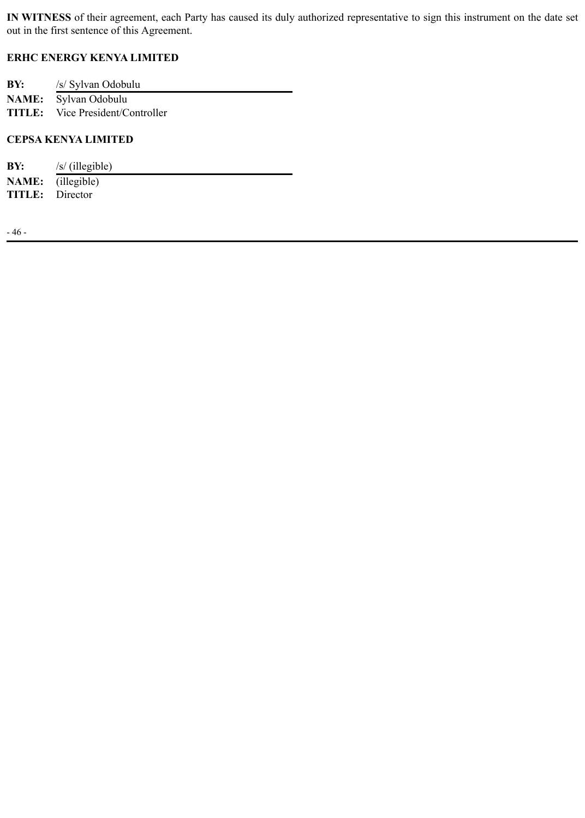**IN WITNESS** of their agreement, each Party has caused its duly authorized representative to sign this instrument on the date set out in the first sentence of this Agreement.

# **ERHC ENERGY KENYA LIMITED**

| BY: | /s/ Sylvan Odobulu                      |
|-----|-----------------------------------------|
|     | <b>NAME:</b> Sylvan Odobulu             |
|     | <b>TITLE:</b> Vice President/Controller |

## **CEPSA KENYA LIMITED**

| $/s$ (illegible)         |
|--------------------------|
| <b>NAME:</b> (illegible) |
| <b>TITLE:</b> Director   |
|                          |

- 46 -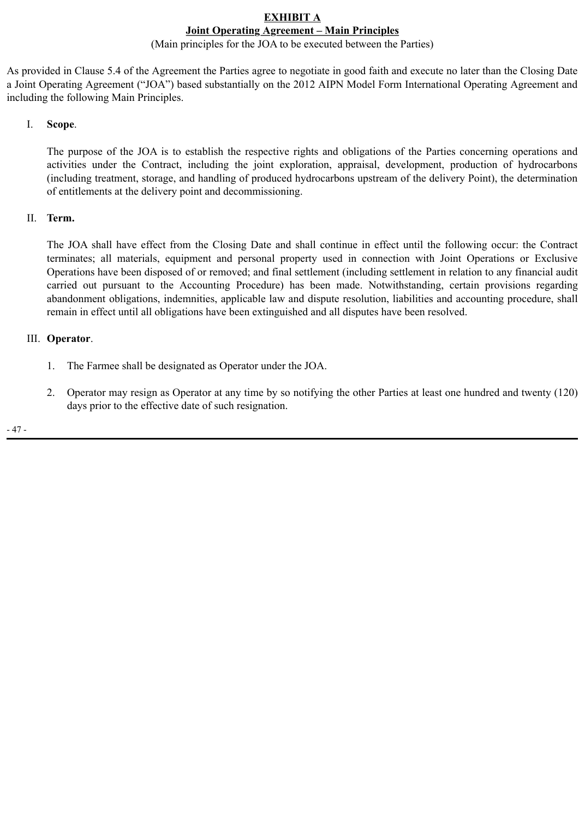#### **EXHIBIT A Joint Operating Agreement – Main Principles**

# (Main principles for the JOA to be executed between the Parties)

As provided in Clause 5.4 of the Agreement the Parties agree to negotiate in good faith and execute no later than the Closing Date a Joint Operating Agreement ("JOA") based substantially on the 2012 AIPN Model Form International Operating Agreement and including the following Main Principles.

I. **Scope**.

The purpose of the JOA is to establish the respective rights and obligations of the Parties concerning operations and activities under the Contract, including the joint exploration, appraisal, development, production of hydrocarbons (including treatment, storage, and handling of produced hydrocarbons upstream of the delivery Point), the determination of entitlements at the delivery point and decommissioning.

# II. **Term.**

The JOA shall have effect from the Closing Date and shall continue in effect until the following occur: the Contract terminates; all materials, equipment and personal property used in connection with Joint Operations or Exclusive Operations have been disposed of or removed; and final settlement (including settlement in relation to any financial audit carried out pursuant to the Accounting Procedure) has been made. Notwithstanding, certain provisions regarding abandonment obligations, indemnities, applicable law and dispute resolution, liabilities and accounting procedure, shall remain in effect until all obligations have been extinguished and all disputes have been resolved.

# III. **Operator**.

- 1. The Farmee shall be designated as Operator under the JOA.
- 2. Operator may resign as Operator at any time by so notifying the other Parties at least one hundred and twenty (120) days prior to the effective date of such resignation.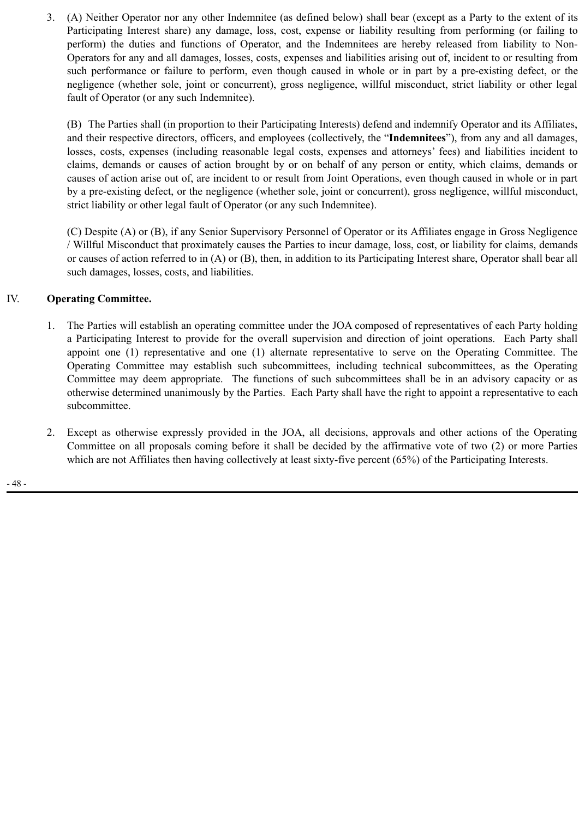3. (A) Neither Operator nor any other Indemnitee (as defined below) shall bear (except as a Party to the extent of its Participating Interest share) any damage, loss, cost, expense or liability resulting from performing (or failing to perform) the duties and functions of Operator, and the Indemnitees are hereby released from liability to Non-Operators for any and all damages, losses, costs, expenses and liabilities arising out of, incident to or resulting from such performance or failure to perform, even though caused in whole or in part by a pre-existing defect, or the negligence (whether sole, joint or concurrent), gross negligence, willful misconduct, strict liability or other legal fault of Operator (or any such Indemnitee).

(B) The Parties shall (in proportion to their Participating Interests) defend and indemnify Operator and its Affiliates, and their respective directors, officers, and employees (collectively, the "**Indemnitees**"), from any and all damages, losses, costs, expenses (including reasonable legal costs, expenses and attorneys' fees) and liabilities incident to claims, demands or causes of action brought by or on behalf of any person or entity, which claims, demands or causes of action arise out of, are incident to or result from Joint Operations, even though caused in whole or in part by a pre-existing defect, or the negligence (whether sole, joint or concurrent), gross negligence, willful misconduct, strict liability or other legal fault of Operator (or any such Indemnitee).

(C) Despite (A) or (B), if any Senior Supervisory Personnel of Operator or its Affiliates engage in Gross Negligence / Willful Misconduct that proximately causes the Parties to incur damage, loss, cost, or liability for claims, demands or causes of action referred to in (A) or (B), then, in addition to its Participating Interest share, Operator shall bear all such damages, losses, costs, and liabilities.

# IV. **Operating Committee.**

- 1. The Parties will establish an operating committee under the JOA composed of representatives of each Party holding a Participating Interest to provide for the overall supervision and direction of joint operations. Each Party shall appoint one (1) representative and one (1) alternate representative to serve on the Operating Committee. The Operating Committee may establish such subcommittees, including technical subcommittees, as the Operating Committee may deem appropriate. The functions of such subcommittees shall be in an advisory capacity or as otherwise determined unanimously by the Parties. Each Party shall have the right to appoint a representative to each subcommittee.
- 2. Except as otherwise expressly provided in the JOA, all decisions, approvals and other actions of the Operating Committee on all proposals coming before it shall be decided by the affirmative vote of two (2) or more Parties which are not Affiliates then having collectively at least sixty-five percent (65%) of the Participating Interests.

- 48 -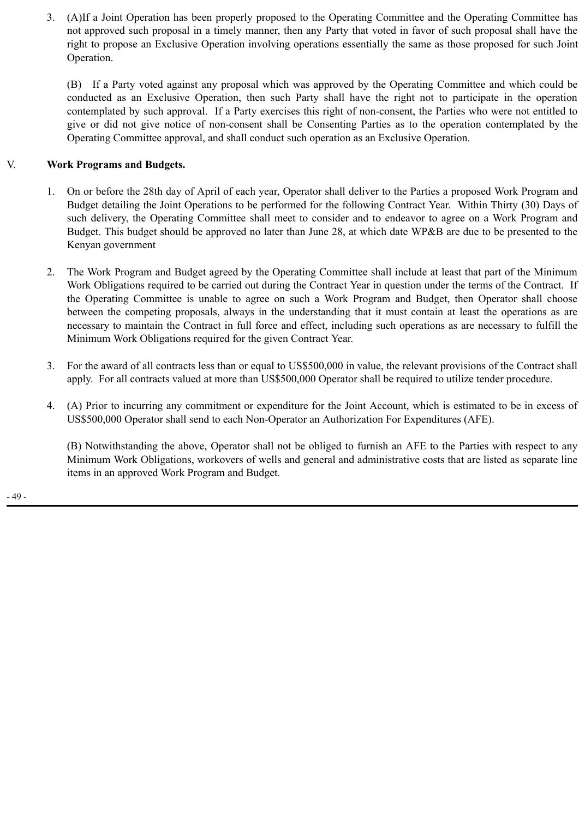3. (A)If a Joint Operation has been properly proposed to the Operating Committee and the Operating Committee has not approved such proposal in a timely manner, then any Party that voted in favor of such proposal shall have the right to propose an Exclusive Operation involving operations essentially the same as those proposed for such Joint Operation.

(B) If a Party voted against any proposal which was approved by the Operating Committee and which could be conducted as an Exclusive Operation, then such Party shall have the right not to participate in the operation contemplated by such approval. If a Party exercises this right of non-consent, the Parties who were not entitled to give or did not give notice of non-consent shall be Consenting Parties as to the operation contemplated by the Operating Committee approval, and shall conduct such operation as an Exclusive Operation.

# V. **Work Programs and Budgets.**

- 1. On or before the 28th day of April of each year, Operator shall deliver to the Parties a proposed Work Program and Budget detailing the Joint Operations to be performed for the following Contract Year. Within Thirty (30) Days of such delivery, the Operating Committee shall meet to consider and to endeavor to agree on a Work Program and Budget. This budget should be approved no later than June 28, at which date WP&B are due to be presented to the Kenyan government
- 2. The Work Program and Budget agreed by the Operating Committee shall include at least that part of the Minimum Work Obligations required to be carried out during the Contract Year in question under the terms of the Contract. If the Operating Committee is unable to agree on such a Work Program and Budget, then Operator shall choose between the competing proposals, always in the understanding that it must contain at least the operations as are necessary to maintain the Contract in full force and effect, including such operations as are necessary to fulfill the Minimum Work Obligations required for the given Contract Year.
- 3. For the award of all contracts less than or equal to US\$500,000 in value, the relevant provisions of the Contract shall apply. For all contracts valued at more than US\$500,000 Operator shall be required to utilize tender procedure.
- 4. (A) Prior to incurring any commitment or expenditure for the Joint Account, which is estimated to be in excess of US\$500,000 Operator shall send to each Non-Operator an Authorization For Expenditures (AFE).

(B) Notwithstanding the above, Operator shall not be obliged to furnish an AFE to the Parties with respect to any Minimum Work Obligations, workovers of wells and general and administrative costs that are listed as separate line items in an approved Work Program and Budget.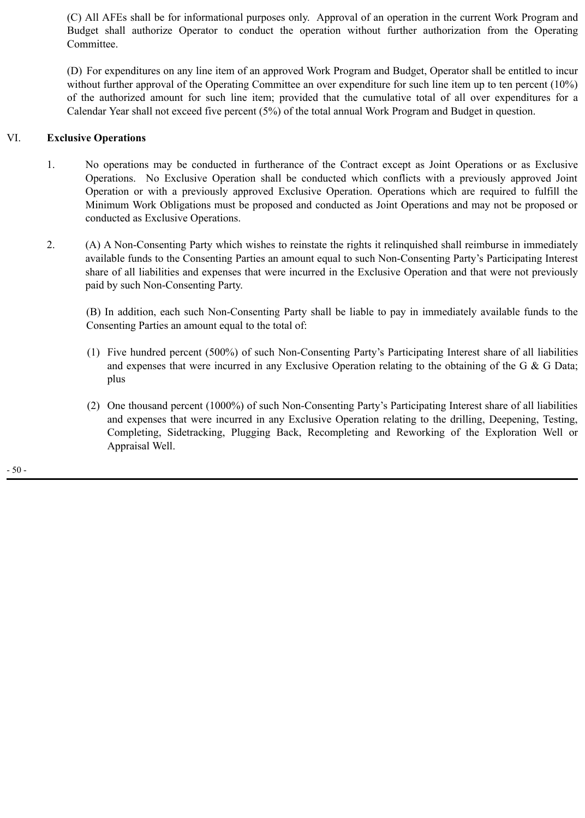(C) All AFEs shall be for informational purposes only. Approval of an operation in the current Work Program and Budget shall authorize Operator to conduct the operation without further authorization from the Operating Committee.

(D) For expenditures on any line item of an approved Work Program and Budget, Operator shall be entitled to incur without further approval of the Operating Committee an over expenditure for such line item up to ten percent (10%) of the authorized amount for such line item; provided that the cumulative total of all over expenditures for a Calendar Year shall not exceed five percent (5%) of the total annual Work Program and Budget in question.

# VI. **Exclusive Operations**

- 1. No operations may be conducted in furtherance of the Contract except as Joint Operations or as Exclusive Operations. No Exclusive Operation shall be conducted which conflicts with a previously approved Joint Operation or with a previously approved Exclusive Operation. Operations which are required to fulfill the Minimum Work Obligations must be proposed and conducted as Joint Operations and may not be proposed or conducted as Exclusive Operations.
- 2. (A) A Non-Consenting Party which wishes to reinstate the rights it relinquished shall reimburse in immediately available funds to the Consenting Parties an amount equal to such Non-Consenting Party's Participating Interest share of all liabilities and expenses that were incurred in the Exclusive Operation and that were not previously paid by such Non-Consenting Party.

(B) In addition, each such Non-Consenting Party shall be liable to pay in immediately available funds to the Consenting Parties an amount equal to the total of:

- (1) Five hundred percent (500%) of such Non-Consenting Party's Participating Interest share of all liabilities and expenses that were incurred in any Exclusive Operation relating to the obtaining of the G & G Data; plus
- (2) One thousand percent (1000%) of such Non-Consenting Party's Participating Interest share of all liabilities and expenses that were incurred in any Exclusive Operation relating to the drilling, Deepening, Testing, Completing, Sidetracking, Plugging Back, Recompleting and Reworking of the Exploration Well or Appraisal Well.

- 50 -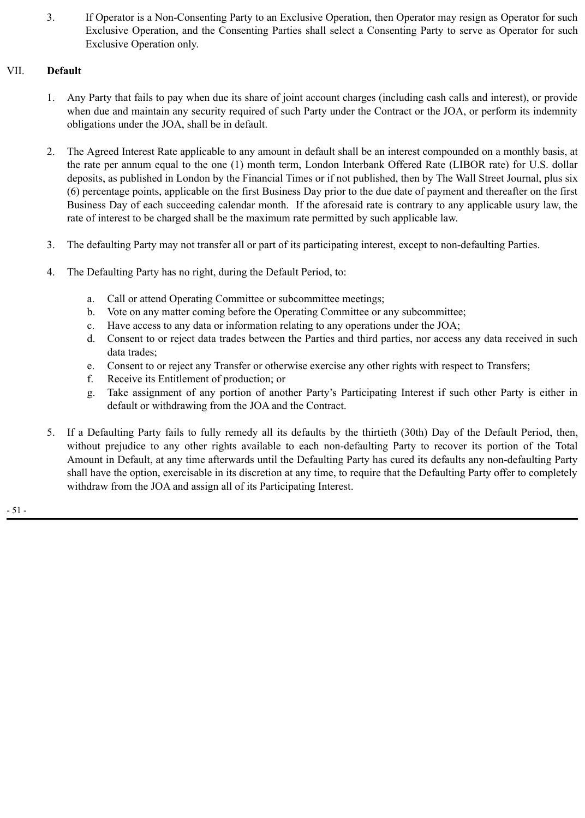3. If Operator is a Non-Consenting Party to an Exclusive Operation, then Operator may resign as Operator for such Exclusive Operation, and the Consenting Parties shall select a Consenting Party to serve as Operator for such Exclusive Operation only.

# VII. **Default**

- 1. Any Party that fails to pay when due its share of joint account charges (including cash calls and interest), or provide when due and maintain any security required of such Party under the Contract or the JOA, or perform its indemnity obligations under the JOA, shall be in default.
- 2. The Agreed Interest Rate applicable to any amount in default shall be an interest compounded on a monthly basis, at the rate per annum equal to the one (1) month term, London Interbank Offered Rate (LIBOR rate) for U.S. dollar deposits, as published in London by the Financial Times or if not published, then by The Wall Street Journal, plus six (6) percentage points, applicable on the first Business Day prior to the due date of payment and thereafter on the first Business Day of each succeeding calendar month. If the aforesaid rate is contrary to any applicable usury law, the rate of interest to be charged shall be the maximum rate permitted by such applicable law.
- 3. The defaulting Party may not transfer all or part of its participating interest, except to non-defaulting Parties.
- 4. The Defaulting Party has no right, during the Default Period, to:
	- a. Call or attend Operating Committee or subcommittee meetings;
	- b. Vote on any matter coming before the Operating Committee or any subcommittee;
	- c. Have access to any data or information relating to any operations under the JOA;
	- d. Consent to or reject data trades between the Parties and third parties, nor access any data received in such data trades;
	- e. Consent to or reject any Transfer or otherwise exercise any other rights with respect to Transfers;
	- f. Receive its Entitlement of production; or
	- g. Take assignment of any portion of another Party's Participating Interest if such other Party is either in default or withdrawing from the JOA and the Contract.
- 5. If a Defaulting Party fails to fully remedy all its defaults by the thirtieth (30th) Day of the Default Period, then, without prejudice to any other rights available to each non-defaulting Party to recover its portion of the Total Amount in Default, at any time afterwards until the Defaulting Party has cured its defaults any non-defaulting Party shall have the option, exercisable in its discretion at any time, to require that the Defaulting Party offer to completely withdraw from the JOA and assign all of its Participating Interest.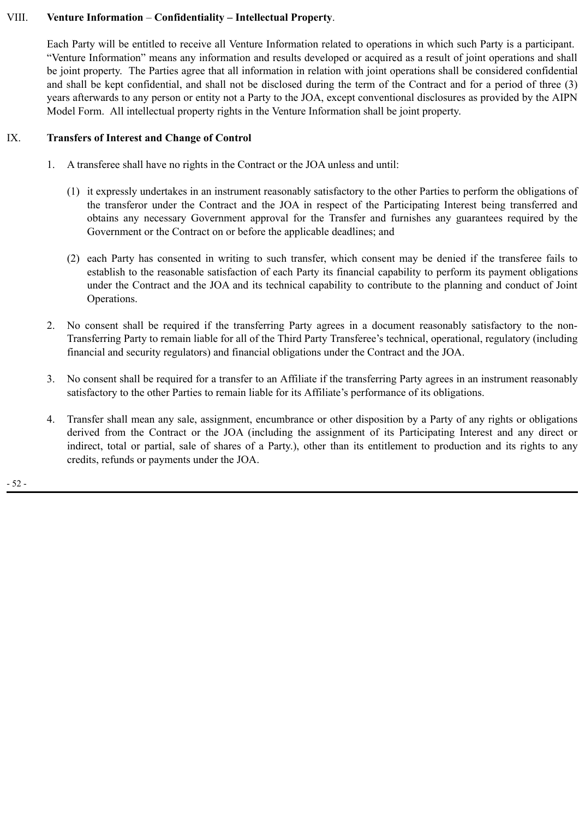# VIII. **Venture Information** – **Confidentiality – Intellectual Property**.

Each Party will be entitled to receive all Venture Information related to operations in which such Party is a participant. "Venture Information" means any information and results developed or acquired as a result of joint operations and shall be joint property. The Parties agree that all information in relation with joint operations shall be considered confidential and shall be kept confidential, and shall not be disclosed during the term of the Contract and for a period of three (3) years afterwards to any person or entity not a Party to the JOA, except conventional disclosures as provided by the AIPN Model Form. All intellectual property rights in the Venture Information shall be joint property.

# IX. **Transfers of Interest and Change of Control**

- 1. A transferee shall have no rights in the Contract or the JOA unless and until:
	- (1) it expressly undertakes in an instrument reasonably satisfactory to the other Parties to perform the obligations of the transferor under the Contract and the JOA in respect of the Participating Interest being transferred and obtains any necessary Government approval for the Transfer and furnishes any guarantees required by the Government or the Contract on or before the applicable deadlines; and
	- (2) each Party has consented in writing to such transfer, which consent may be denied if the transferee fails to establish to the reasonable satisfaction of each Party its financial capability to perform its payment obligations under the Contract and the JOA and its technical capability to contribute to the planning and conduct of Joint Operations.
- 2. No consent shall be required if the transferring Party agrees in a document reasonably satisfactory to the non-Transferring Party to remain liable for all of the Third Party Transferee's technical, operational, regulatory (including financial and security regulators) and financial obligations under the Contract and the JOA.
- 3. No consent shall be required for a transfer to an Affiliate if the transferring Party agrees in an instrument reasonably satisfactory to the other Parties to remain liable for its Affiliate's performance of its obligations.
- 4. Transfer shall mean any sale, assignment, encumbrance or other disposition by a Party of any rights or obligations derived from the Contract or the JOA (including the assignment of its Participating Interest and any direct or indirect, total or partial, sale of shares of a Party.), other than its entitlement to production and its rights to any credits, refunds or payments under the JOA.

- 52 -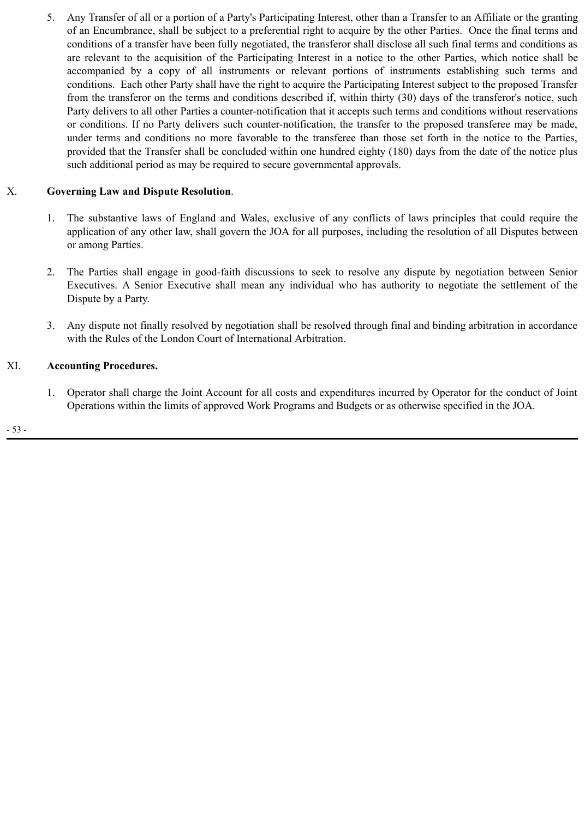5. Any Transfer of all or a portion of a Party's Participating Interest, other than a Transfer to an Affiliate or the granting of an Encumbrance, shall be subject to a preferential right to acquire by the other Parties. Once the final terms and conditions of a transfer have been fully negotiated, the transferor shall disclose all such final terms and conditions as are relevant to the acquisition of the Participating Interest in a notice to the other Parties, which notice shall be accompanied by a copy of all instruments or relevant portions of instruments establishing such terms and conditions. Each other Party shall have the right to acquire the Participating Interest subject to the proposed Transfer from the transferor on the terms and conditions described if, within thirty (30) days of the transferor's notice, such Party delivers to all other Parties a counter-notification that it accepts such terms and conditions without reservations or conditions. If no Party delivers such counter-notification, the transfer to the proposed transferee may be made, under terms and conditions no more favorable to the transferee than those set forth in the notice to the Parties, provided that the Transfer shall be concluded within one hundred eighty (180) days from the date of the notice plus such additional period as may be required to secure governmental approvals.

# X. **Governing Law and Dispute Resolution**.

- 1. The substantive laws of England and Wales, exclusive of any conflicts of laws principles that could require the application of any other law, shall govern the JOA for all purposes, including the resolution of all Disputes between or among Parties.
- 2. The Parties shall engage in good-faith discussions to seek to resolve any dispute by negotiation between Senior Executives. A Senior Executive shall mean any individual who has authority to negotiate the settlement of the Dispute by a Party.
- 3. Any dispute not finally resolved by negotiation shall be resolved through final and binding arbitration in accordance with the Rules of the London Court of International Arbitration.

# XI. **Accounting Procedures.**

1. Operator shall charge the Joint Account for all costs and expenditures incurred by Operator for the conduct of Joint Operations within the limits of approved Work Programs and Budgets or as otherwise specified in the JOA.

- 53 -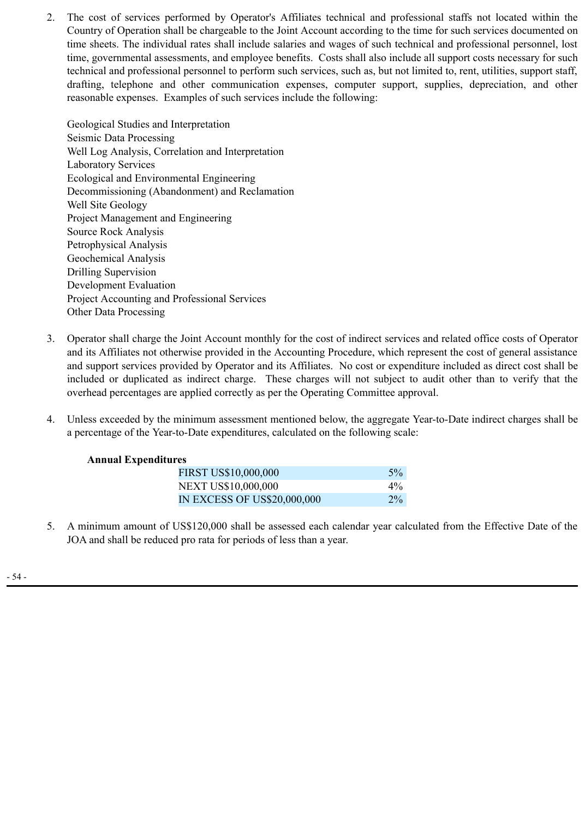2. The cost of services performed by Operator's Affiliates technical and professional staffs not located within the Country of Operation shall be chargeable to the Joint Account according to the time for such services documented on time sheets. The individual rates shall include salaries and wages of such technical and professional personnel, lost time, governmental assessments, and employee benefits. Costs shall also include all support costs necessary for such technical and professional personnel to perform such services, such as, but not limited to, rent, utilities, support staff, drafting, telephone and other communication expenses, computer support, supplies, depreciation, and other reasonable expenses. Examples of such services include the following:

Geological Studies and Interpretation Seismic Data Processing Well Log Analysis, Correlation and Interpretation Laboratory Services Ecological and Environmental Engineering Decommissioning (Abandonment) and Reclamation Well Site Geology Project Management and Engineering Source Rock Analysis Petrophysical Analysis Geochemical Analysis Drilling Supervision Development Evaluation Project Accounting and Professional Services Other Data Processing

- 3. Operator shall charge the Joint Account monthly for the cost of indirect services and related office costs of Operator and its Affiliates not otherwise provided in the Accounting Procedure, which represent the cost of general assistance and support services provided by Operator and its Affiliates. No cost or expenditure included as direct cost shall be included or duplicated as indirect charge. These charges will not subject to audit other than to verify that the overhead percentages are applied correctly as per the Operating Committee approval.
- 4. Unless exceeded by the minimum assessment mentioned below, the aggregate Year-to-Date indirect charges shall be a percentage of the Year-to-Date expenditures, calculated on the following scale:

## **Annual Expenditures**

| FIRST US\$10,000,000        | $5\%$ |
|-----------------------------|-------|
| <b>NEXT US\$10,000,000</b>  | $4\%$ |
| IN EXCESS OF US\$20,000,000 | $2\%$ |

5. A minimum amount of US\$120,000 shall be assessed each calendar year calculated from the Effective Date of the JOA and shall be reduced pro rata for periods of less than a year.

- 54 -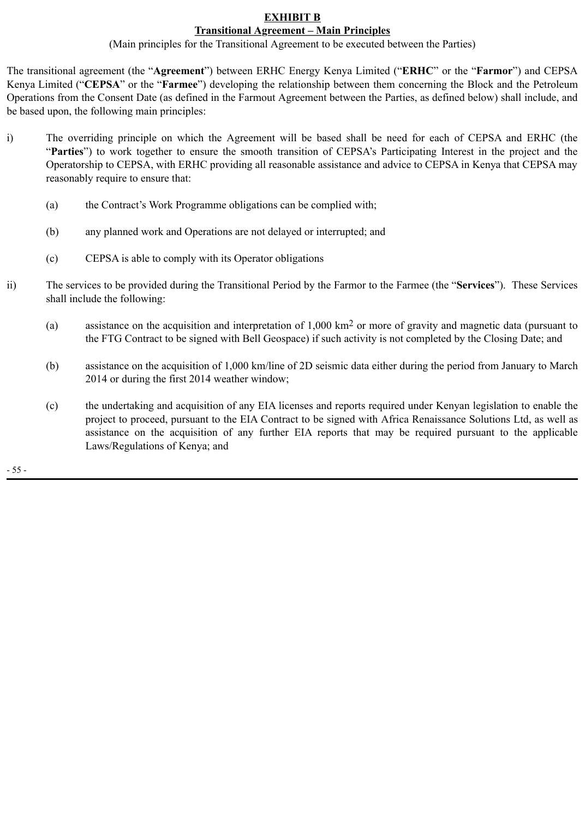# **EXHIBIT B**

**Transitional Agreement – Main Principles** (Main principles for the Transitional Agreement to be executed between the Parties)

The transitional agreement (the "**Agreement**") between ERHC Energy Kenya Limited ("**ERHC**" or the "**Farmor**") and CEPSA Kenya Limited ("**CEPSA**" or the "**Farmee**") developing the relationship between them concerning the Block and the Petroleum Operations from the Consent Date (as defined in the Farmout Agreement between the Parties, as defined below) shall include, and be based upon, the following main principles:

- i) The overriding principle on which the Agreement will be based shall be need for each of CEPSA and ERHC (the "**Parties**") to work together to ensure the smooth transition of CEPSA's Participating Interest in the project and the Operatorship to CEPSA, with ERHC providing all reasonable assistance and advice to CEPSA in Kenya that CEPSA may reasonably require to ensure that:
	- (a) the Contract's Work Programme obligations can be complied with;
	- (b) any planned work and Operations are not delayed or interrupted; and
	- (c) CEPSA is able to comply with its Operator obligations
- ii) The services to be provided during the Transitional Period by the Farmor to the Farmee (the "**Services**"). These Services shall include the following:
	- (a) assistance on the acquisition and interpretation of 1,000 km2 or more of gravity and magnetic data (pursuant to the FTG Contract to be signed with Bell Geospace) if such activity is not completed by the Closing Date; and
	- (b) assistance on the acquisition of 1,000 km/line of 2D seismic data either during the period from January to March 2014 or during the first 2014 weather window;
	- (c) the undertaking and acquisition of any EIA licenses and reports required under Kenyan legislation to enable the project to proceed, pursuant to the EIA Contract to be signed with Africa Renaissance Solutions Ltd, as well as assistance on the acquisition of any further EIA reports that may be required pursuant to the applicable Laws/Regulations of Kenya; and

- 55 -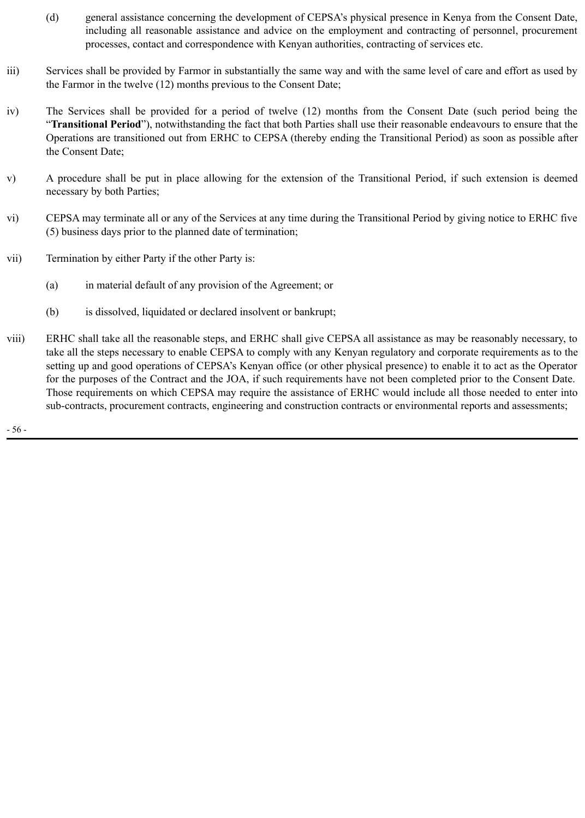- (d) general assistance concerning the development of CEPSA's physical presence in Kenya from the Consent Date, including all reasonable assistance and advice on the employment and contracting of personnel, procurement processes, contact and correspondence with Kenyan authorities, contracting of services etc.
- iii) Services shall be provided by Farmor in substantially the same way and with the same level of care and effort as used by the Farmor in the twelve (12) months previous to the Consent Date;
- iv) The Services shall be provided for a period of twelve (12) months from the Consent Date (such period being the "**Transitional Period**"), notwithstanding the fact that both Parties shall use their reasonable endeavours to ensure that the Operations are transitioned out from ERHC to CEPSA (thereby ending the Transitional Period) as soon as possible after the Consent Date;
- v) A procedure shall be put in place allowing for the extension of the Transitional Period, if such extension is deemed necessary by both Parties;
- vi) CEPSA may terminate all or any of the Services at any time during the Transitional Period by giving notice to ERHC five (5) business days prior to the planned date of termination;
- vii) Termination by either Party if the other Party is:
	- (a) in material default of any provision of the Agreement; or
	- (b) is dissolved, liquidated or declared insolvent or bankrupt;
- viii) ERHC shall take all the reasonable steps, and ERHC shall give CEPSA all assistance as may be reasonably necessary, to take all the steps necessary to enable CEPSA to comply with any Kenyan regulatory and corporate requirements as to the setting up and good operations of CEPSA's Kenyan office (or other physical presence) to enable it to act as the Operator for the purposes of the Contract and the JOA, if such requirements have not been completed prior to the Consent Date. Those requirements on which CEPSA may require the assistance of ERHC would include all those needed to enter into sub-contracts, procurement contracts, engineering and construction contracts or environmental reports and assessments;

- 56 -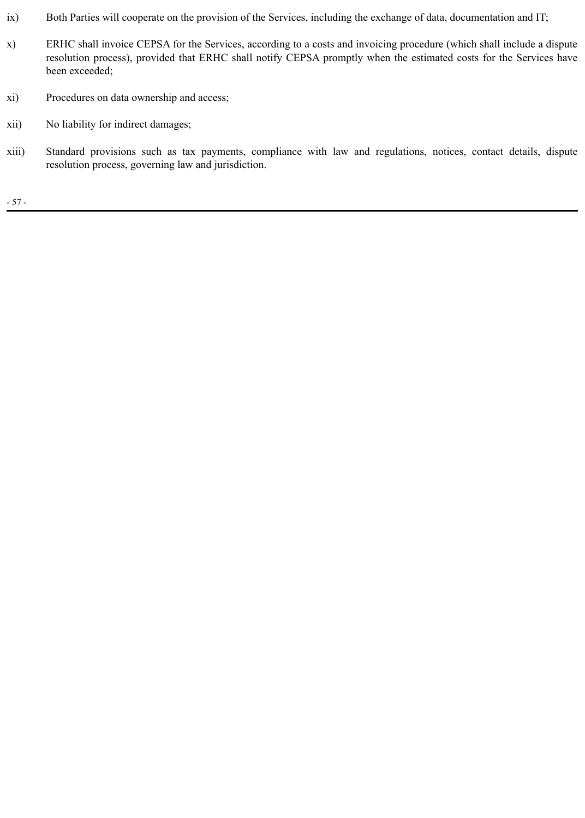- ix) Both Parties will cooperate on the provision of the Services, including the exchange of data, documentation and IT;
- x) ERHC shall invoice CEPSA for the Services, according to a costs and invoicing procedure (which shall include a dispute resolution process), provided that ERHC shall notify CEPSA promptly when the estimated costs for the Services have been exceeded;
- xi) Procedures on data ownership and access;
- xii) No liability for indirect damages;
- xiii) Standard provisions such as tax payments, compliance with law and regulations, notices, contact details, dispute resolution process, governing law and jurisdiction.

- 57 -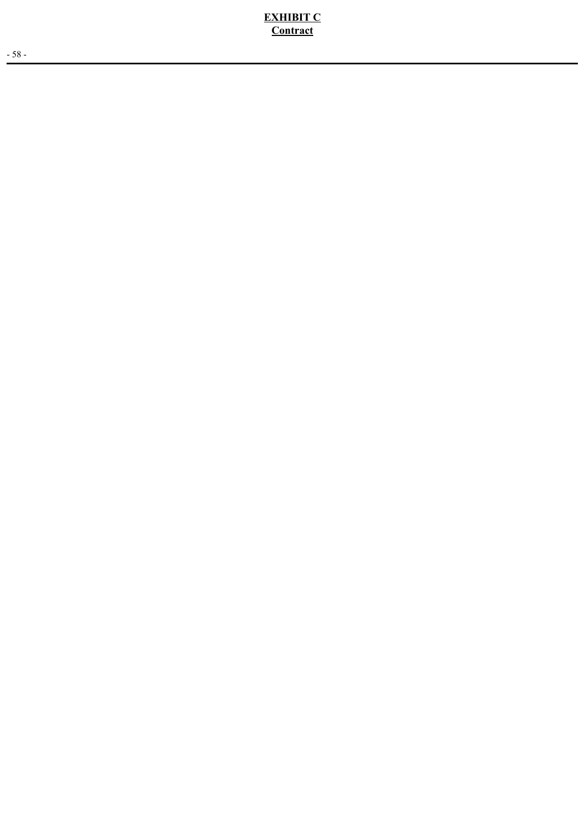**EXHIBIT C Contract**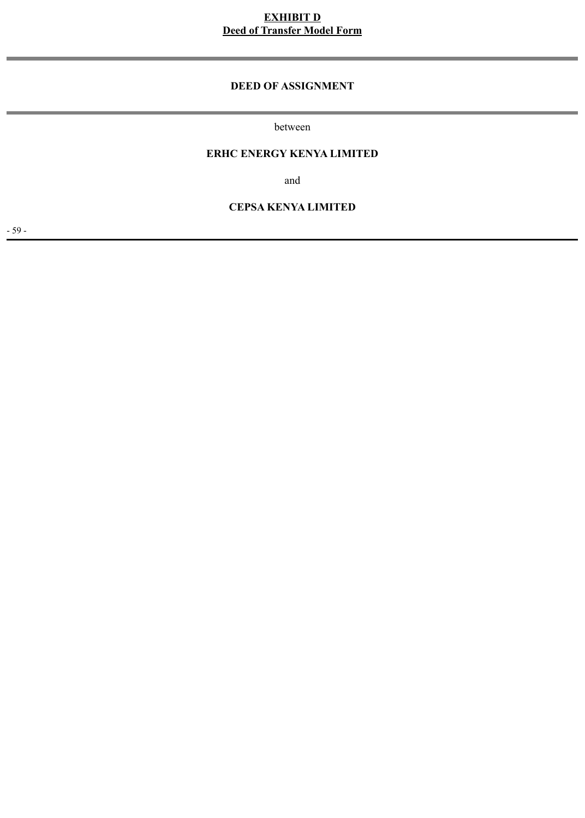# **EXHIBIT D Deed of Transfer Model Form**

### **DEED OF ASSIGNMENT**

between

## **ERHC ENERGY KENYA LIMITED**

and

#### **CEPSA KENYA LIMITED**

- 59 -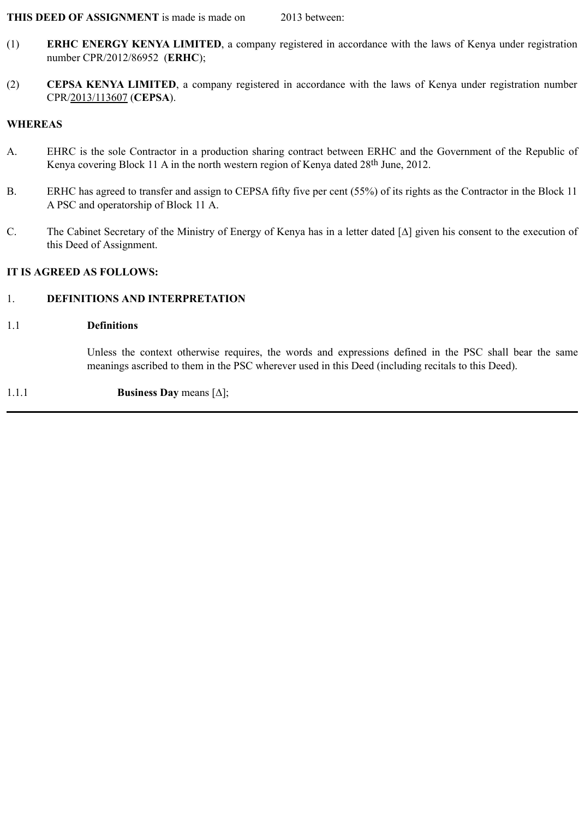#### **THIS DEED OF ASSIGNMENT** is made is made on 2013 between:

- (1) **ERHC ENERGY KENYA LIMITED**, a company registered in accordance with the laws of Kenya under registration number CPR/2012/86952 (**ERHC**);
- (2) **CEPSA KENYA LIMITED**, a company registered in accordance with the laws of Kenya under registration number CPR/2013/113607 (**CEPSA**).

#### **WHEREAS**

- A. EHRC is the sole Contractor in a production sharing contract between ERHC and the Government of the Republic of Kenya covering Block 11 A in the north western region of Kenya dated 28<sup>th</sup> June, 2012.
- B. ERHC has agreed to transfer and assign to CEPSA fifty five per cent (55%) of its rights as the Contractor in the Block 11 A PSC and operatorship of Block 11 A.
- C. The Cabinet Secretary of the Ministry of Energy of Kenya has in a letter dated [∆] given his consent to the execution of this Deed of Assignment.

#### **IT IS AGREED AS FOLLOWS:**

## 1. **DEFINITIONS AND INTERPRETATION**

#### 1.1 **Definitions**

Unless the context otherwise requires, the words and expressions defined in the PSC shall bear the same meanings ascribed to them in the PSC wherever used in this Deed (including recitals to this Deed).

#### 1.1.1 **Business Day** means [∆];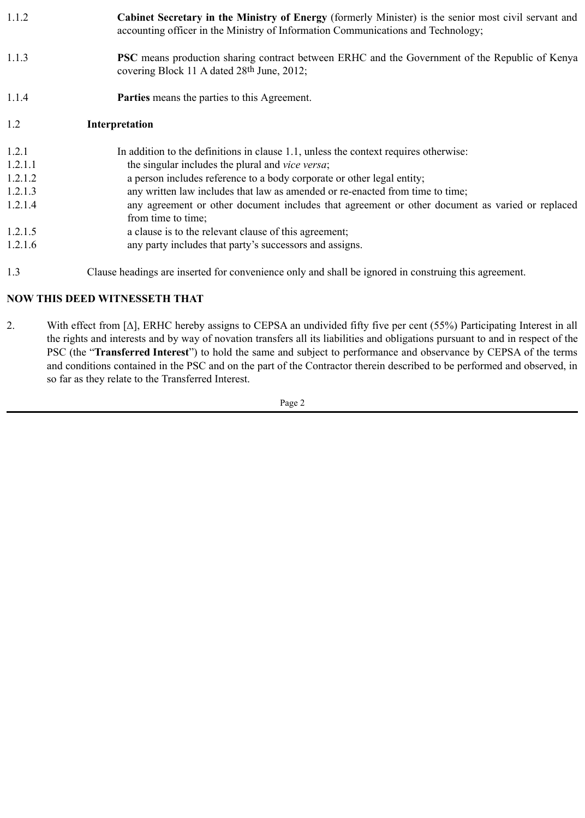| 1.1.2   | Cabinet Secretary in the Ministry of Energy (formerly Minister) is the senior most civil servant and<br>accounting officer in the Ministry of Information Communications and Technology; |
|---------|------------------------------------------------------------------------------------------------------------------------------------------------------------------------------------------|
| 1.1.3   | <b>PSC</b> means production sharing contract between ERHC and the Government of the Republic of Kenya<br>covering Block 11 A dated 28th June, 2012;                                      |
| 1.1.4   | <b>Parties</b> means the parties to this Agreement.                                                                                                                                      |
| 1.2     | Interpretation                                                                                                                                                                           |
| 1.2.1   | In addition to the definitions in clause 1.1, unless the context requires otherwise:                                                                                                     |
| 1.2.1.1 | the singular includes the plural and vice versa;                                                                                                                                         |
| 1.2.1.2 | a person includes reference to a body corporate or other legal entity;                                                                                                                   |
| 1.2.1.3 | any written law includes that law as amended or re-enacted from time to time;                                                                                                            |
| 1.2.1.4 | any agreement or other document includes that agreement or other document as varied or replaced<br>from time to time;                                                                    |
| 1.2.1.5 | a clause is to the relevant clause of this agreement;                                                                                                                                    |
| 1.2.1.6 | any party includes that party's successors and assigns.                                                                                                                                  |
| 1.3     | Clause headings are inserted for convenience only and shall be ignored in construing this agreement.                                                                                     |

# **NOW THIS DEED WITNESSETH THAT**

2. With effect from [∆], ERHC hereby assigns to CEPSA an undivided fifty five per cent (55%) Participating Interest in all the rights and interests and by way of novation transfers all its liabilities and obligations pursuant to and in respect of the PSC (the "**Transferred Interest**") to hold the same and subject to performance and observance by CEPSA of the terms and conditions contained in the PSC and on the part of the Contractor therein described to be performed and observed, in so far as they relate to the Transferred Interest.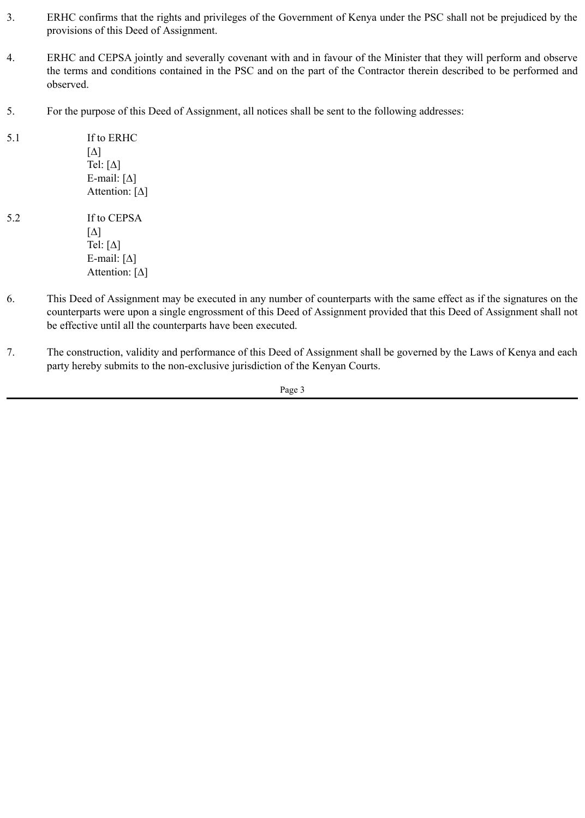- 3. ERHC confirms that the rights and privileges of the Government of Kenya under the PSC shall not be prejudiced by the provisions of this Deed of Assignment.
- 4. ERHC and CEPSA jointly and severally covenant with and in favour of the Minister that they will perform and observe the terms and conditions contained in the PSC and on the part of the Contractor therein described to be performed and observed.
- 5. For the purpose of this Deed of Assignment, all notices shall be sent to the following addresses:
- 5.1 If to ERHC [∆] Tel:  $[\Delta]$ E-mail: [∆] Attention: [∆]
- 5.2 If to CEPSA [∆] Tel: [∆] E-mail:  $[\Delta]$ Attention: [∆]
- 6. This Deed of Assignment may be executed in any number of counterparts with the same effect as if the signatures on the counterparts were upon a single engrossment of this Deed of Assignment provided that this Deed of Assignment shall not be effective until all the counterparts have been executed.
- 7. The construction, validity and performance of this Deed of Assignment shall be governed by the Laws of Kenya and each party hereby submits to the non-exclusive jurisdiction of the Kenyan Courts.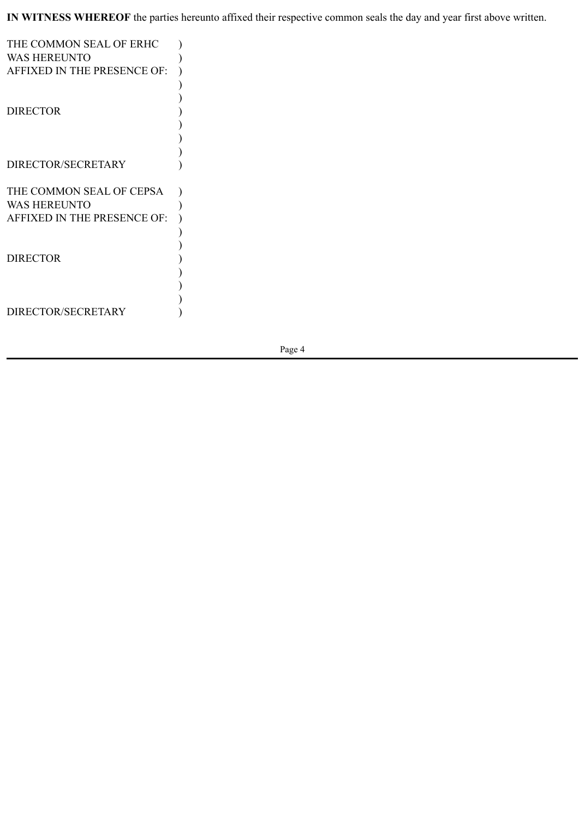**IN WITNESS WHEREOF** the parties hereunto affixed their respective common seals the day and year first above written.

| THE COMMON SEAL OF ERHC     |  |
|-----------------------------|--|
| <b>WAS HEREUNTO</b>         |  |
| AFFIXED IN THE PRESENCE OF: |  |
|                             |  |
|                             |  |
| <b>DIRECTOR</b>             |  |
|                             |  |
|                             |  |
|                             |  |
| DIRECTOR/SECRETARY          |  |
| THE COMMON SEAL OF CEPSA    |  |
| <b>WAS HEREUNTO</b>         |  |
| AFFIXED IN THE PRESENCE OF: |  |
|                             |  |
|                             |  |
| <b>DIRECTOR</b>             |  |
|                             |  |
|                             |  |
|                             |  |
|                             |  |